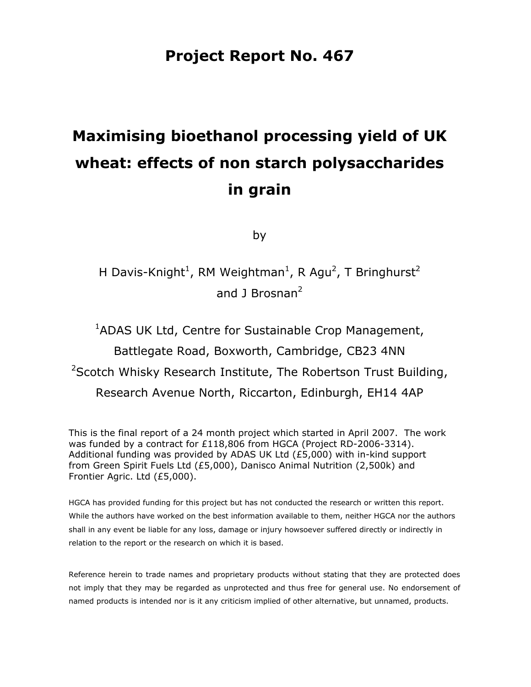# **Project Report No. 467**

# **Maximising bioethanol processing yield of UK wheat: effects of non starch polysaccharides in grain**

by

H Davis-Knight<sup>1</sup>, RM Weightman<sup>1</sup>, R Agu<sup>2</sup>, T Bringhurst<sup>2</sup> and 1 Brosnan<sup>2</sup>

<sup>1</sup>ADAS UK Ltd, Centre for Sustainable Crop Management, Battlegate Road, Boxworth, Cambridge, CB23 4NN <sup>2</sup>Scotch Whisky Research Institute, The Robertson Trust Building, Research Avenue North, Riccarton, Edinburgh, EH14 4AP

This is the final report of a 24 month project which started in April 2007. The work was funded by a contract for £118,806 from HGCA (Project RD-2006-3314). Additional funding was provided by ADAS UK Ltd (£5,000) with in-kind support from Green Spirit Fuels Ltd (£5,000), Danisco Animal Nutrition (2,500k) and Frontier Agric. Ltd (£5,000).

HGCA has provided funding for this project but has not conducted the research or written this report. While the authors have worked on the best information available to them, neither HGCA nor the authors shall in any event be liable for any loss, damage or injury howsoever suffered directly or indirectly in relation to the report or the research on which it is based.

Reference herein to trade names and proprietary products without stating that they are protected does not imply that they may be regarded as unprotected and thus free for general use. No endorsement of named products is intended nor is it any criticism implied of other alternative, but unnamed, products.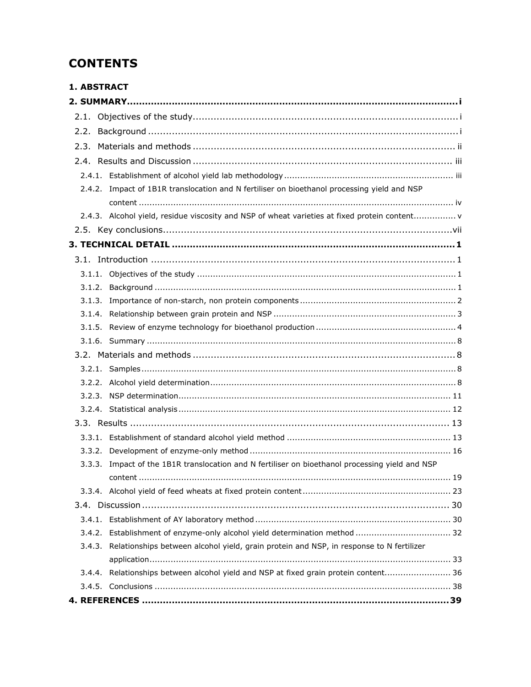# **CONTENTS**

| <b>1. ABSTRACT</b> |                                                                                                 |
|--------------------|-------------------------------------------------------------------------------------------------|
|                    |                                                                                                 |
|                    |                                                                                                 |
| 2.2.               |                                                                                                 |
| 2.3.               |                                                                                                 |
|                    |                                                                                                 |
|                    |                                                                                                 |
|                    | 2.4.2. Impact of 1B1R translocation and N fertiliser on bioethanol processing yield and NSP     |
|                    |                                                                                                 |
|                    | 2.4.3. Alcohol yield, residue viscosity and NSP of wheat varieties at fixed protein content v   |
|                    |                                                                                                 |
|                    |                                                                                                 |
|                    |                                                                                                 |
|                    |                                                                                                 |
| 3.1.2.             |                                                                                                 |
| 3.1.3.             |                                                                                                 |
|                    |                                                                                                 |
|                    |                                                                                                 |
|                    |                                                                                                 |
|                    |                                                                                                 |
|                    |                                                                                                 |
|                    |                                                                                                 |
|                    |                                                                                                 |
|                    |                                                                                                 |
|                    |                                                                                                 |
|                    |                                                                                                 |
|                    |                                                                                                 |
|                    | 3.3.3. Impact of the 1B1R translocation and N fertiliser on bioethanol processing yield and NSP |
|                    |                                                                                                 |
|                    |                                                                                                 |
|                    |                                                                                                 |
|                    |                                                                                                 |
| 3.4.2.             | Establishment of enzyme-only alcohol yield determination method  32                             |
| 3.4.3.             | Relationships between alcohol yield, grain protein and NSP, in response to N fertilizer         |
|                    |                                                                                                 |
| 3.4.4.             | Relationships between alcohol yield and NSP at fixed grain protein content 36                   |
|                    |                                                                                                 |
|                    |                                                                                                 |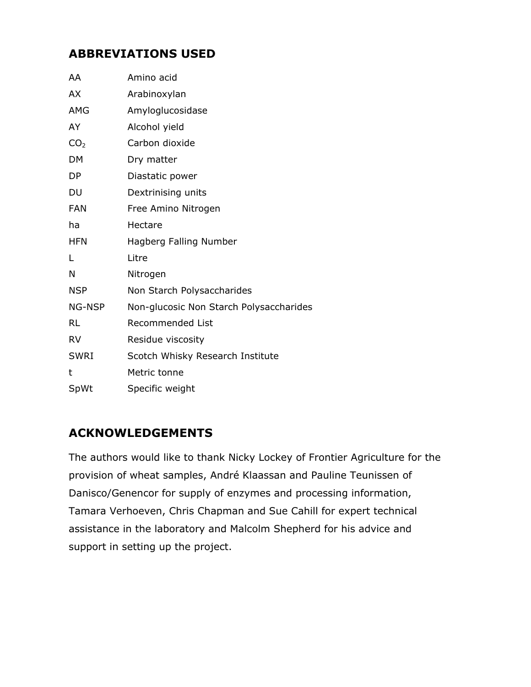# **ABBREVIATIONS USED**

| AA              | Amino acid                              |
|-----------------|-----------------------------------------|
| AX              | Arabinoxylan                            |
| AMG             | Amyloglucosidase                        |
| AY              | Alcohol yield                           |
| CO <sub>2</sub> | Carbon dioxide                          |
| DM              | Dry matter                              |
| DP              | Diastatic power                         |
| DU              | Dextrinising units                      |
| <b>FAN</b>      | Free Amino Nitrogen                     |
| ha              | Hectare                                 |
| <b>HFN</b>      | Hagberg Falling Number                  |
| Г               | Litre                                   |
| N               | Nitrogen                                |
| <b>NSP</b>      | Non Starch Polysaccharides              |
| NG-NSP          | Non-glucosic Non Starch Polysaccharides |
| <b>RL</b>       | <b>Recommended List</b>                 |
| <b>RV</b>       | Residue viscosity                       |
| <b>SWRI</b>     | Scotch Whisky Research Institute        |
| t               | Metric tonne                            |
| SpWt            | Specific weight                         |

# **ACKNOWLEDGEMENTS**

The authors would like to thank Nicky Lockey of Frontier Agriculture for the provision of wheat samples, André Klaassan and Pauline Teunissen of Danisco/Genencor for supply of enzymes and processing information, Tamara Verhoeven, Chris Chapman and Sue Cahill for expert technical assistance in the laboratory and Malcolm Shepherd for his advice and support in setting up the project.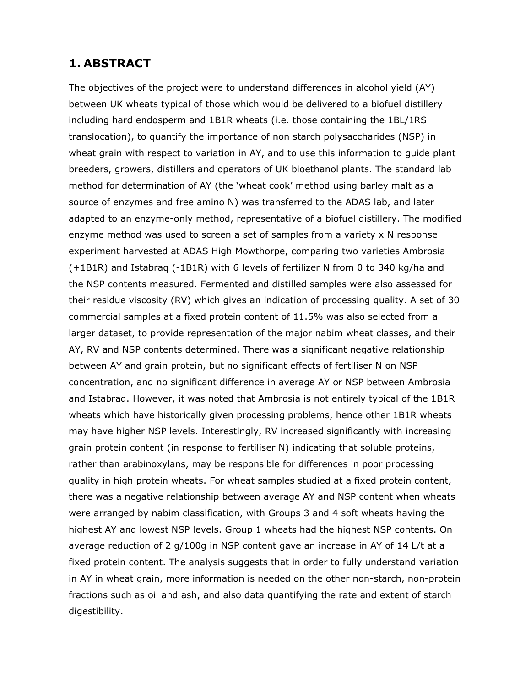# **1. ABSTRACT**

The objectives of the project were to understand differences in alcohol yield (AY) between UK wheats typical of those which would be delivered to a biofuel distillery including hard endosperm and 1B1R wheats (i.e. those containing the 1BL/1RS translocation), to quantify the importance of non starch polysaccharides (NSP) in wheat grain with respect to variation in AY, and to use this information to guide plant breeders, growers, distillers and operators of UK bioethanol plants. The standard lab method for determination of AY (the 'wheat cook' method using barley malt as a source of enzymes and free amino N) was transferred to the ADAS lab, and later adapted to an enzyme-only method, representative of a biofuel distillery. The modified enzyme method was used to screen a set of samples from a variety x N response experiment harvested at ADAS High Mowthorpe, comparing two varieties Ambrosia (+1B1R) and Istabraq (-1B1R) with 6 levels of fertilizer N from 0 to 340 kg/ha and the NSP contents measured. Fermented and distilled samples were also assessed for their residue viscosity (RV) which gives an indication of processing quality. A set of 30 commercial samples at a fixed protein content of 11.5% was also selected from a larger dataset, to provide representation of the major nabim wheat classes, and their AY, RV and NSP contents determined. There was a significant negative relationship between AY and grain protein, but no significant effects of fertiliser N on NSP concentration, and no significant difference in average AY or NSP between Ambrosia and Istabraq. However, it was noted that Ambrosia is not entirely typical of the 1B1R wheats which have historically given processing problems, hence other 1B1R wheats may have higher NSP levels. Interestingly, RV increased significantly with increasing grain protein content (in response to fertiliser N) indicating that soluble proteins, rather than arabinoxylans, may be responsible for differences in poor processing quality in high protein wheats. For wheat samples studied at a fixed protein content, there was a negative relationship between average AY and NSP content when wheats were arranged by nabim classification, with Groups 3 and 4 soft wheats having the highest AY and lowest NSP levels. Group 1 wheats had the highest NSP contents. On average reduction of 2 g/100g in NSP content gave an increase in AY of 14 L/t at a fixed protein content. The analysis suggests that in order to fully understand variation in AY in wheat grain, more information is needed on the other non-starch, non-protein fractions such as oil and ash, and also data quantifying the rate and extent of starch digestibility.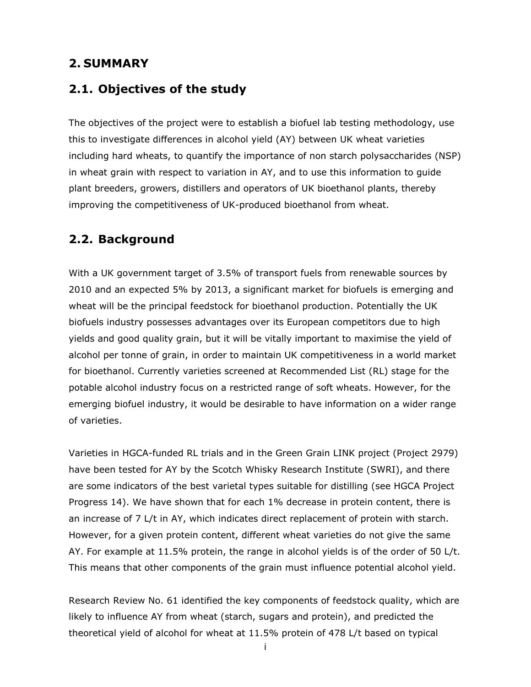# **2. SUMMARY**

# **2.1. Objectives of the study**

The objectives of the project were to establish a biofuel lab testing methodology, use this to investigate differences in alcohol yield (AY) between UK wheat varieties including hard wheats, to quantify the importance of non starch polysaccharides (NSP) in wheat grain with respect to variation in AY, and to use this information to guide plant breeders, growers, distillers and operators of UK bioethanol plants, thereby improving the competitiveness of UK-produced bioethanol from wheat.

# **2.2. Background**

With a UK government target of 3.5% of transport fuels from renewable sources by 2010 and an expected 5% by 2013, a significant market for biofuels is emerging and wheat will be the principal feedstock for bioethanol production. Potentially the UK biofuels industry possesses advantages over its European competitors due to high yields and good quality grain, but it will be vitally important to maximise the yield of alcohol per tonne of grain, in order to maintain UK competitiveness in a world market for bioethanol. Currently varieties screened at Recommended List (RL) stage for the potable alcohol industry focus on a restricted range of soft wheats. However, for the emerging biofuel industry, it would be desirable to have information on a wider range of varieties.

Varieties in HGCA-funded RL trials and in the Green Grain LINK project (Project 2979) have been tested for AY by the Scotch Whisky Research Institute (SWRI), and there are some indicators of the best varietal types suitable for distilling (see HGCA Project Progress 14). We have shown that for each 1% decrease in protein content, there is an increase of 7 L/t in AY, which indicates direct replacement of protein with starch. However, for a given protein content, different wheat varieties do not give the same AY. For example at 11.5% protein, the range in alcohol yields is of the order of 50 L/t. This means that other components of the grain must influence potential alcohol yield.

Research Review No. 61 identified the key components of feedstock quality, which are likely to influence AY from wheat (starch, sugars and protein), and predicted the theoretical yield of alcohol for wheat at 11.5% protein of 478 L/t based on typical

i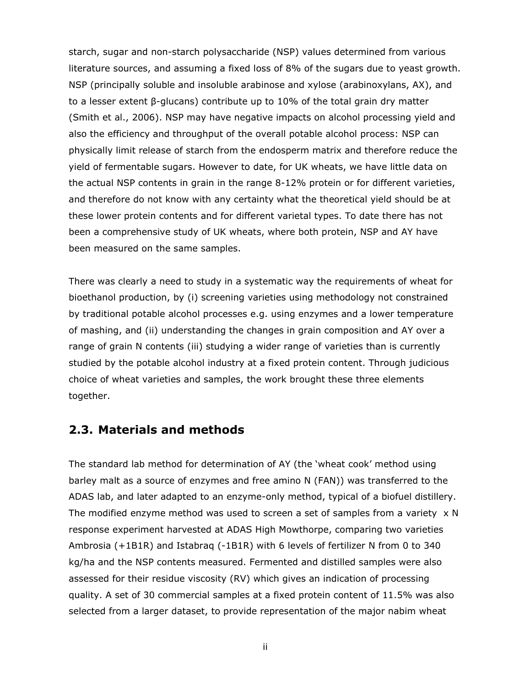starch, sugar and non-starch polysaccharide (NSP) values determined from various literature sources, and assuming a fixed loss of 8% of the sugars due to yeast growth. NSP (principally soluble and insoluble arabinose and xylose (arabinoxylans, AX), and to a lesser extent β-glucans) contribute up to 10% of the total grain dry matter (Smith *et al*., 2006). NSP may have negative impacts on alcohol processing yield and also the efficiency and throughput of the overall potable alcohol process: NSP can physically limit release of starch from the endosperm matrix and therefore reduce the yield of fermentable sugars. However to date, for UK wheats, we have little data on the actual NSP contents in grain in the range 8-12% protein or for different varieties, and therefore do not know with any certainty what the theoretical yield should be at these lower protein contents and for different varietal types. To date there has not been a comprehensive study of UK wheats, where both protein, NSP and AY have been measured on the same samples.

There was clearly a need to study in a systematic way the requirements of wheat for bioethanol production, by (i) screening varieties using methodology not constrained by traditional potable alcohol processes e.g. using enzymes and a lower temperature of mashing, and (ii) understanding the changes in grain composition and AY over a range of grain N contents (iii) studying a wider range of varieties than is currently studied by the potable alcohol industry at a fixed protein content. Through judicious choice of wheat varieties and samples, the work brought these three elements together.

# **2.3. Materials and methods**

The standard lab method for determination of AY (the 'wheat cook' method using barley malt as a source of enzymes and free amino N (FAN)) was transferred to the ADAS lab, and later adapted to an enzyme-only method, typical of a biofuel distillery. The modified enzyme method was used to screen a set of samples from a variety  $\times$  N response experiment harvested at ADAS High Mowthorpe, comparing two varieties Ambrosia (+1B1R) and Istabraq (-1B1R) with 6 levels of fertilizer N from 0 to 340 kg/ha and the NSP contents measured. Fermented and distilled samples were also assessed for their residue viscosity (RV) which gives an indication of processing quality. A set of 30 commercial samples at a fixed protein content of 11.5% was also selected from a larger dataset, to provide representation of the major nabim wheat

ii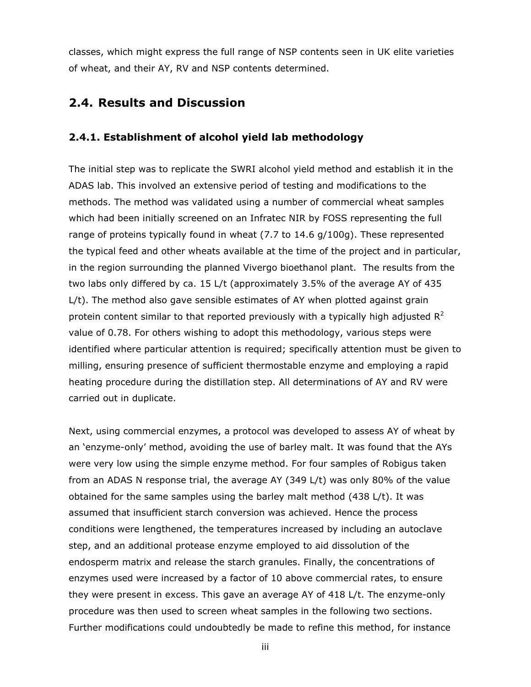classes, which might express the full range of NSP contents seen in UK elite varieties of wheat, and their AY, RV and NSP contents determined.

# **2.4. Results and Discussion**

### **2.4.1. Establishment of alcohol yield lab methodology**

The initial step was to replicate the SWRI alcohol yield method and establish it in the ADAS lab. This involved an extensive period of testing and modifications to the methods. The method was validated using a number of commercial wheat samples which had been initially screened on an Infratec NIR by FOSS representing the full range of proteins typically found in wheat (7.7 to 14.6 g/100g). These represented the typical feed and other wheats available at the time of the project and in particular, in the region surrounding the planned Vivergo bioethanol plant. The results from the two labs only differed by *ca*. 15 L/t (approximately 3.5% of the average AY of 435 L/t). The method also gave sensible estimates of AY when plotted against grain protein content similar to that reported previously with a typically high adjusted  $R^2$ value of 0.78. For others wishing to adopt this methodology, various steps were identified where particular attention is required; specifically attention must be given to milling, ensuring presence of sufficient thermostable enzyme and employing a rapid heating procedure during the distillation step. All determinations of AY and RV were carried out in duplicate.

Next, using commercial enzymes, a protocol was developed to assess AY of wheat by an 'enzyme-only' method, avoiding the use of barley malt. It was found that the AYs were very low using the simple enzyme method. For four samples of Robigus taken from an ADAS N response trial, the average AY (349 L/t) was only 80% of the value obtained for the same samples using the barley malt method (438 L/t). It was assumed that insufficient starch conversion was achieved. Hence the process conditions were lengthened, the temperatures increased by including an autoclave step, and an additional protease enzyme employed to aid dissolution of the endosperm matrix and release the starch granules. Finally, the concentrations of enzymes used were increased by a factor of 10 above commercial rates, to ensure they were present in excess. This gave an average AY of 418 L/t. The enzyme-only procedure was then used to screen wheat samples in the following two sections. Further modifications could undoubtedly be made to refine this method, for instance

iii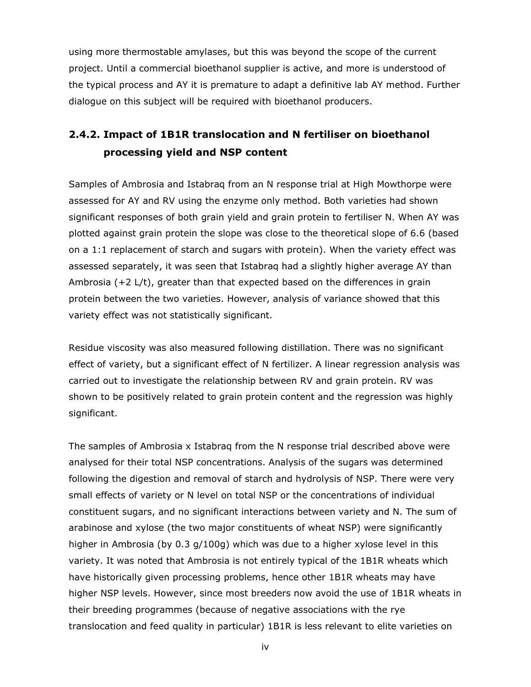using more thermostable amylases, but this was beyond the scope of the current project. Until a commercial bioethanol supplier is active, and more is understood of the typical process and AY it is premature to adapt a definitive lab AY method. Further dialogue on this subject will be required with bioethanol producers.

# **2.4.2. Impact of 1B1R translocation and N fertiliser on bioethanol processing yield and NSP content**

Samples of Ambrosia and Istabraq from an N response trial at High Mowthorpe were assessed for AY and RV using the enzyme only method. Both varieties had shown significant responses of both grain yield and grain protein to fertiliser N. When AY was plotted against grain protein the slope was close to the theoretical slope of 6.6 (based on a 1:1 replacement of starch and sugars with protein). When the variety effect was assessed separately, it was seen that Istabraq had a slightly higher average AY than Ambrosia (+2 L/t), greater than that expected based on the differences in grain protein between the two varieties. However, analysis of variance showed that this variety effect was not statistically significant.

Residue viscosity was also measured following distillation. There was no significant effect of variety, but a significant effect of N fertilizer. A linear regression analysis was carried out to investigate the relationship between RV and grain protein. RV was shown to be positively related to grain protein content and the regression was highly significant.

The samples of Ambrosia x Istabraq from the N response trial described above were analysed for their total NSP concentrations. Analysis of the sugars was determined following the digestion and removal of starch and hydrolysis of NSP. There were very small effects of variety or N level on total NSP or the concentrations of individual constituent sugars, and no significant interactions between variety and N. The sum of arabinose and xylose (the two major constituents of wheat NSP) were significantly higher in Ambrosia (by 0.3 g/100g) which was due to a higher xylose level in this variety. It was noted that Ambrosia is not entirely typical of the 1B1R wheats which have historically given processing problems, hence other 1B1R wheats may have higher NSP levels. However, since most breeders now avoid the use of 1B1R wheats in their breeding programmes (because of negative associations with the rye translocation and feed quality in particular) 1B1R is less relevant to elite varieties on

iv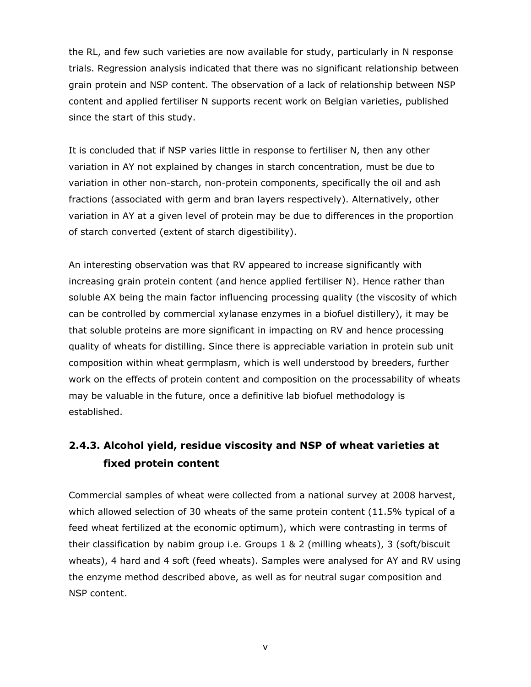the RL, and few such varieties are now available for study, particularly in N response trials. Regression analysis indicated that there was no significant relationship between grain protein and NSP content. The observation of a lack of relationship between NSP content and applied fertiliser N supports recent work on Belgian varieties, published since the start of this study.

It is concluded that if NSP varies little in response to fertiliser N, then any other variation in AY not explained by changes in starch concentration, must be due to variation in other non-starch, non-protein components, specifically the oil and ash fractions (associated with germ and bran layers respectively). Alternatively, other variation in AY at a given level of protein may be due to differences in the proportion of starch converted (extent of starch digestibility).

An interesting observation was that RV appeared to increase significantly with increasing grain protein content (and hence applied fertiliser N). Hence rather than soluble AX being the main factor influencing processing quality (the viscosity of which can be controlled by commercial xylanase enzymes in a biofuel distillery), it may be that soluble proteins are more significant in impacting on RV and hence processing quality of wheats for distilling. Since there is appreciable variation in protein sub unit composition within wheat germplasm, which is well understood by breeders, further work on the effects of protein content and composition on the processability of wheats may be valuable in the future, once a definitive lab biofuel methodology is established.

# **2.4.3. Alcohol yield, residue viscosity and NSP of wheat varieties at fixed protein content**

Commercial samples of wheat were collected from a national survey at 2008 harvest, which allowed selection of 30 wheats of the same protein content (11.5% typical of a feed wheat fertilized at the economic optimum), which were contrasting in terms of their classification by nabim group i.e. Groups 1 & 2 (milling wheats), 3 (soft/biscuit wheats), 4 hard and 4 soft (feed wheats). Samples were analysed for AY and RV using the enzyme method described above, as well as for neutral sugar composition and NSP content.

v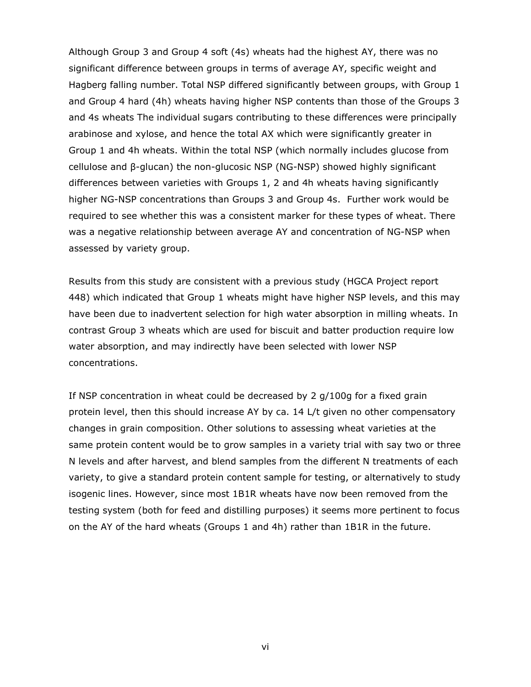Although Group 3 and Group 4 soft (4s) wheats had the highest AY, there was no significant difference between groups in terms of average AY, specific weight and Hagberg falling number. Total NSP differed significantly between groups, with Group 1 and Group 4 hard (4h) wheats having higher NSP contents than those of the Groups 3 and 4s wheats The individual sugars contributing to these differences were principally arabinose and xylose, and hence the total AX which were significantly greater in Group 1 and 4h wheats. Within the total NSP (which normally includes glucose from cellulose and β-glucan) the non-glucosic NSP (NG-NSP) showed highly significant differences between varieties with Groups 1, 2 and 4h wheats having significantly higher NG-NSP concentrations than Groups 3 and Group 4s. Further work would be required to see whether this was a consistent marker for these types of wheat. There was a negative relationship between average AY and concentration of NG-NSP when assessed by variety group.

Results from this study are consistent with a previous study (HGCA Project report 448) which indicated that Group 1 wheats might have higher NSP levels, and this may have been due to inadvertent selection for high water absorption in milling wheats. In contrast Group 3 wheats which are used for biscuit and batter production require low water absorption, and may indirectly have been selected with lower NSP concentrations.

If NSP concentration in wheat could be decreased by 2 g/100g for a fixed grain protein level, then this should increase AY by *ca*. 14 L/t given no other compensatory changes in grain composition. Other solutions to assessing wheat varieties at the same protein content would be to grow samples in a variety trial with say two or three N levels and after harvest, and blend samples from the different N treatments of each variety, to give a standard protein content sample for testing, or alternatively to study isogenic lines. However, since most 1B1R wheats have now been removed from the testing system (both for feed and distilling purposes) it seems more pertinent to focus on the AY of the hard wheats (Groups 1 and 4h) rather than 1B1R in the future.

vi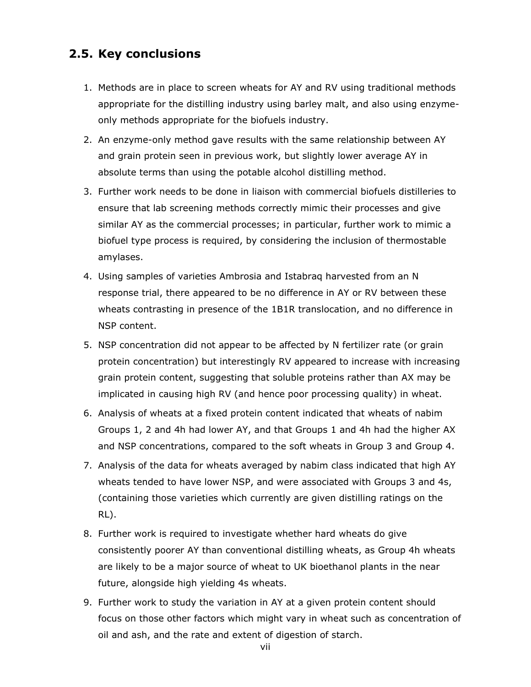# **2.5. Key conclusions**

- 1. Methods are in place to screen wheats for AY and RV using traditional methods appropriate for the distilling industry using barley malt, and also using enzymeonly methods appropriate for the biofuels industry.
- 2. An enzyme-only method gave results with the same relationship between AY and grain protein seen in previous work, but slightly lower average AY in absolute terms than using the potable alcohol distilling method.
- 3. Further work needs to be done in liaison with commercial biofuels distilleries to ensure that lab screening methods correctly mimic their processes and give similar AY as the commercial processes; in particular, further work to mimic a biofuel type process is required, by considering the inclusion of thermostable amylases.
- 4. Using samples of varieties Ambrosia and Istabraq harvested from an N response trial, there appeared to be no difference in AY or RV between these wheats contrasting in presence of the 1B1R translocation, and no difference in NSP content.
- 5. NSP concentration did not appear to be affected by N fertilizer rate (or grain protein concentration) but interestingly RV appeared to increase with increasing grain protein content, suggesting that soluble proteins rather than AX may be implicated in causing high RV (and hence poor processing quality) in wheat.
- 6. Analysis of wheats at a fixed protein content indicated that wheats of nabim Groups 1, 2 and 4h had lower AY, and that Groups 1 and 4h had the higher AX and NSP concentrations, compared to the soft wheats in Group 3 and Group 4.
- 7. Analysis of the data for wheats averaged by nabim class indicated that high AY wheats tended to have lower NSP, and were associated with Groups 3 and 4s, (containing those varieties which currently are given distilling ratings on the RL).
- 8. Further work is required to investigate whether hard wheats do give consistently poorer AY than conventional distilling wheats, as Group 4h wheats are likely to be a major source of wheat to UK bioethanol plants in the near future, alongside high yielding 4s wheats.
- 9. Further work to study the variation in AY at a given protein content should focus on those other factors which might vary in wheat such as concentration of oil and ash, and the rate and extent of digestion of starch.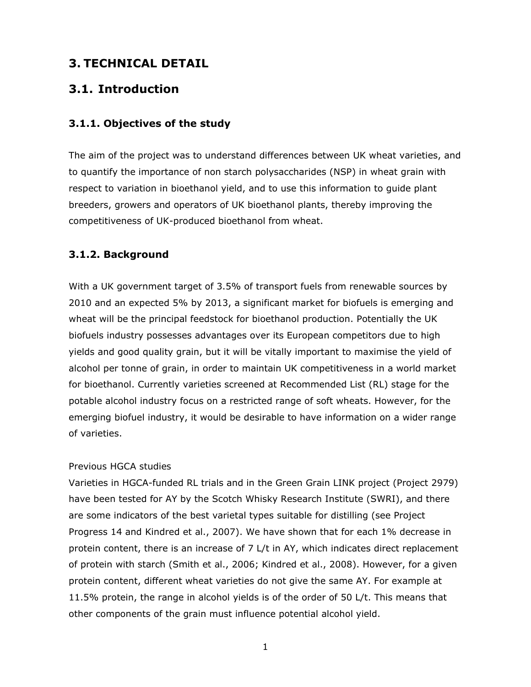# **3. TECHNICAL DETAIL**

# **3.1. Introduction**

### **3.1.1. Objectives of the study**

The aim of the project was to understand differences between UK wheat varieties, and to quantify the importance of non starch polysaccharides (NSP) in wheat grain with respect to variation in bioethanol yield, and to use this information to guide plant breeders, growers and operators of UK bioethanol plants, thereby improving the competitiveness of UK-produced bioethanol from wheat.

### **3.1.2. Background**

With a UK government target of 3.5% of transport fuels from renewable sources by 2010 and an expected 5% by 2013, a significant market for biofuels is emerging and wheat will be the principal feedstock for bioethanol production. Potentially the UK biofuels industry possesses advantages over its European competitors due to high yields and good quality grain, but it will be vitally important to maximise the yield of alcohol per tonne of grain, in order to maintain UK competitiveness in a world market for bioethanol. Currently varieties screened at Recommended List (RL) stage for the potable alcohol industry focus on a restricted range of soft wheats. However, for the emerging biofuel industry, it would be desirable to have information on a wider range of varieties.

### *Previous HGCA studies*

Varieties in HGCA-funded RL trials and in the Green Grain LINK project (Project 2979) have been tested for AY by the Scotch Whisky Research Institute (SWRI), and there are some indicators of the best varietal types suitable for distilling (see Project Progress 14 and Kindred *et al*., 2007). We have shown that for each 1% decrease in protein content, there is an increase of 7 L/t in AY, which indicates direct replacement of protein with starch (Smith *et al*., 2006; Kindred *et al*., 2008). However, for a given protein content, different wheat varieties do not give the same AY. For example at 11.5% protein, the range in alcohol yields is of the order of 50 L/t. This means that other components of the grain must influence potential alcohol yield.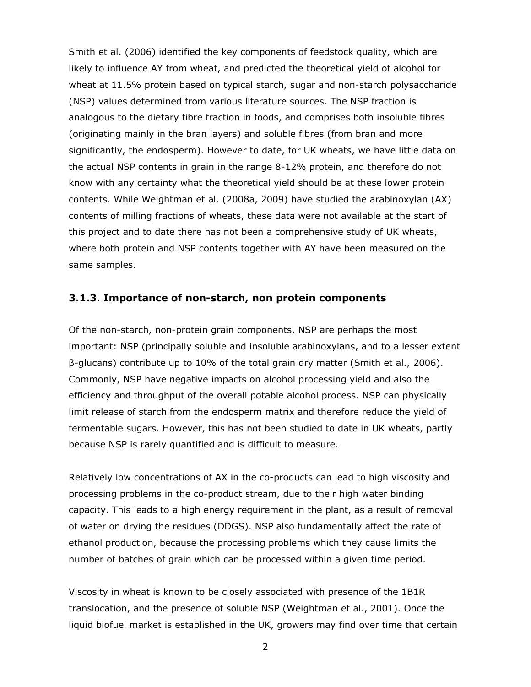Smith *et al*. (2006) identified the key components of feedstock quality, which are likely to influence AY from wheat, and predicted the theoretical yield of alcohol for wheat at 11.5% protein based on typical starch, sugar and non-starch polysaccharide (NSP) values determined from various literature sources. The NSP fraction is analogous to the dietary fibre fraction in foods, and comprises both insoluble fibres (originating mainly in the bran layers) and soluble fibres (from bran and more significantly, the endosperm). However to date, for UK wheats, we have little data on the actual NSP contents in grain in the range 8-12% protein, and therefore do not know with any certainty what the theoretical yield should be at these lower protein contents. While Weightman *et al*. (2008a, 2009) have studied the arabinoxylan (AX) contents of milling fractions of wheats, these data were not available at the start of this project and to date there has not been a comprehensive study of UK wheats, where both protein and NSP contents together with AY have been measured on the same samples.

### **3.1.3. Importance of non-starch, non protein components**

Of the non-starch, non-protein grain components, NSP are perhaps the most important: NSP (principally soluble and insoluble arabinoxylans, and to a lesser extent β-glucans) contribute up to 10% of the total grain dry matter (Smith *et al*., 2006). Commonly, NSP have negative impacts on alcohol processing yield and also the efficiency and throughput of the overall potable alcohol process. NSP can physically limit release of starch from the endosperm matrix and therefore reduce the yield of fermentable sugars. However, this has not been studied to date in UK wheats, partly because NSP is rarely quantified and is difficult to measure.

Relatively low concentrations of AX in the co-products can lead to high viscosity and processing problems in the co-product stream, due to their high water binding capacity. This leads to a high energy requirement in the plant, as a result of removal of water on drying the residues (DDGS). NSP also fundamentally affect the rate of ethanol production, because the processing problems which they cause limits the number of batches of grain which can be processed within a given time period.

Viscosity in wheat is known to be closely associated with presence of the 1B1R translocation, and the presence of soluble NSP (Weightman *et al*., 2001). Once the liquid biofuel market is established in the UK, growers may find over time that certain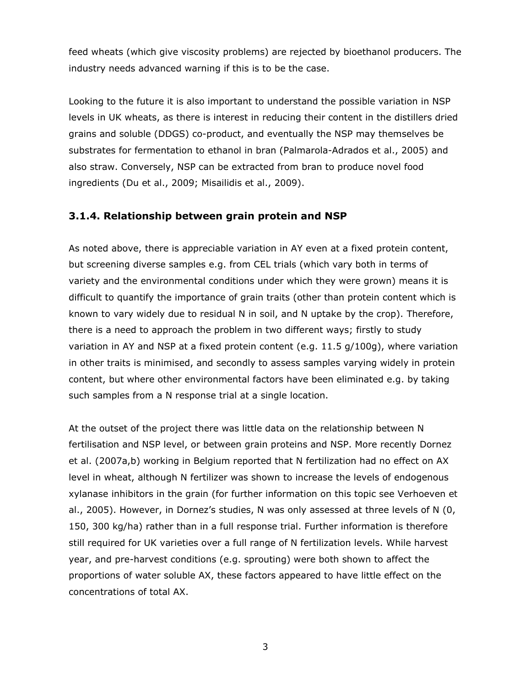feed wheats (which give viscosity problems) are rejected by bioethanol producers. The industry needs advanced warning if this is to be the case.

Looking to the future it is also important to understand the possible variation in NSP levels in UK wheats, as there is interest in reducing their content in the distillers dried grains and soluble (DDGS) co-product, and eventually the NSP may themselves be substrates for fermentation to ethanol in bran (Palmarola-Adrados *et al*., 2005) and also straw. Conversely, NSP can be extracted from bran to produce novel food ingredients (Du *et al*., 2009; Misailidis *et al*., 2009).

### **3.1.4. Relationship between grain protein and NSP**

As noted above, there is appreciable variation in AY even at a fixed protein content, but screening diverse samples e.g. from CEL trials (which vary both in terms of variety and the environmental conditions under which they were grown) means it is difficult to quantify the importance of grain traits (other than protein content which is known to vary widely due to residual N in soil, and N uptake by the crop). Therefore, there is a need to approach the problem in two different ways; firstly to study variation in AY and NSP at a fixed protein content (e.g. 11.5 g/100g), where variation in other traits is minimised, and secondly to assess samples varying widely in protein content, but where other environmental factors have been eliminated e.g. by taking such samples from a N response trial at a single location.

At the outset of the project there was little data on the relationship between N fertilisation and NSP level, or between grain proteins and NSP. More recently Dornez *et al*. (2007a,b) working in Belgium reported that N fertilization had no effect on AX level in wheat, although N fertilizer was shown to increase the levels of endogenous xylanase inhibitors in the grain (for further information on this topic see Verhoeven *et al*., 2005). However, in Dornez's studies, N was only assessed at three levels of N (0, 150, 300 kg/ha) rather than in a full response trial. Further information is therefore still required for UK varieties over a full range of N fertilization levels. While harvest year, and pre-harvest conditions (e.g. sprouting) were both shown to affect the proportions of water soluble AX, these factors appeared to have little effect on the concentrations of total AX.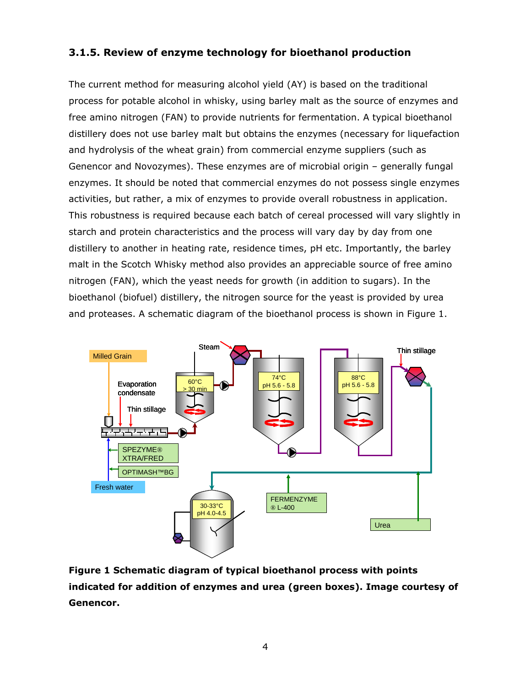# **3.1.5. Review of enzyme technology for bioethanol production**

The current method for measuring alcohol yield (AY) is based on the traditional process for potable alcohol in whisky, using barley malt as the source of enzymes and free amino nitrogen (FAN) to provide nutrients for fermentation. A typical bioethanol distillery does not use barley malt but obtains the enzymes (necessary for liquefaction and hydrolysis of the wheat grain) from commercial enzyme suppliers (such as Genencor and Novozymes). These enzymes are of microbial origin – generally fungal enzymes. It should be noted that commercial enzymes do not possess single enzymes activities, but rather, a mix of enzymes to provide overall robustness in application. This robustness is required because each batch of cereal processed will vary slightly in starch and protein characteristics and the process will vary day by day from one distillery to another in heating rate, residence times, pH etc. Importantly, the barley malt in the Scotch Whisky method also provides an appreciable source of free amino nitrogen (FAN), which the yeast needs for growth (in addition to sugars). In the bioethanol (biofuel) distillery, the nitrogen source for the yeast is provided by urea and proteases. A schematic diagram of the bioethanol process is shown in Figure 1.



**Figure 1 Schematic diagram of typical bioethanol process with points indicated for addition of enzymes and urea (green boxes). Image courtesy of Genencor.**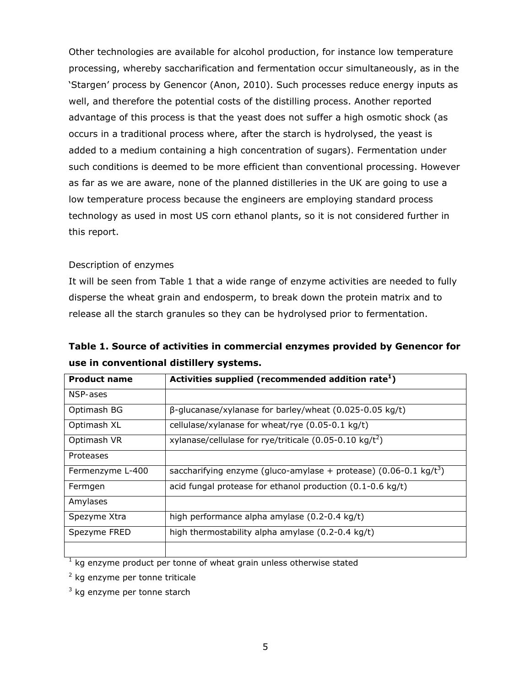Other technologies are available for alcohol production, for instance low temperature processing, whereby saccharification and fermentation occur simultaneously, as in the 'Stargen' process by Genencor (Anon, 2010). Such processes reduce energy inputs as well, and therefore the potential costs of the distilling process. Another reported advantage of this process is that the yeast does not suffer a high osmotic shock (as occurs in a traditional process where, after the starch is hydrolysed, the yeast is added to a medium containing a high concentration of sugars). Fermentation under such conditions is deemed to be more efficient than conventional processing. However as far as we are aware, none of the planned distilleries in the UK are going to use a low temperature process because the engineers are employing standard process technology as used in most US corn ethanol plants, so it is not considered further in this report.

### *Description of enzymes*

It will be seen from Table 1 that a wide range of enzyme activities are needed to fully disperse the wheat grain and endosperm, to break down the protein matrix and to release all the starch granules so they can be hydrolysed prior to fermentation.

| Table 1. Source of activities in commercial enzymes provided by Genencor for |  |
|------------------------------------------------------------------------------|--|
| use in conventional distillery systems.                                      |  |

| <b>Product name</b> | Activities supplied (recommended addition rate <sup>1</sup> )               |
|---------------------|-----------------------------------------------------------------------------|
| NSP-ases            |                                                                             |
| Optimash BG         | $\beta$ -glucanase/xylanase for barley/wheat (0.025-0.05 kg/t)              |
| Optimash XL         | cellulase/xylanase for wheat/rye $(0.05-0.1 \text{ kg/t})$                  |
| Optimash VR         | xylanase/cellulase for rye/triticale $(0.05-0.10 \text{ kg}/t^2)$           |
| Proteases           |                                                                             |
| Fermenzyme L-400    | saccharifying enzyme (gluco-amylase + protease) $(0.06-0.1 \text{ kg}/t^3)$ |
| Fermgen             | acid fungal protease for ethanol production (0.1-0.6 kg/t)                  |
| Amylases            |                                                                             |
| Spezyme Xtra        | high performance alpha amylase (0.2-0.4 kg/t)                               |
| Spezyme FRED        | high thermostability alpha amylase (0.2-0.4 kg/t)                           |
|                     |                                                                             |

 $1$  kg enzyme product per tonne of wheat grain unless otherwise stated

<sup>2</sup> kg enzyme per tonne triticale

 $3$  kg enzyme per tonne starch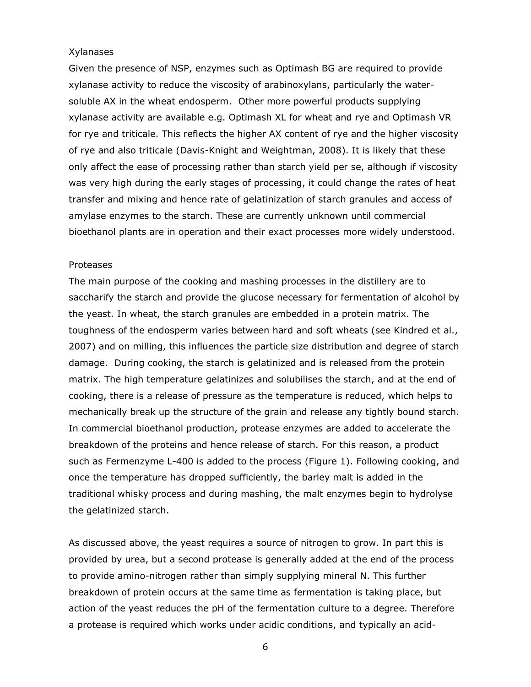#### *Xylanases*

Given the presence of NSP, enzymes such as Optimash BG are required to provide xylanase activity to reduce the viscosity of arabinoxylans, particularly the watersoluble AX in the wheat endosperm. Other more powerful products supplying xylanase activity are available e.g. Optimash XL for wheat and rye and Optimash VR for rye and triticale. This reflects the higher AX content of rye and the higher viscosity of rye and also triticale (Davis-Knight and Weightman, 2008). It is likely that these only affect the ease of processing rather than starch yield *per se*, although if viscosity was very high during the early stages of processing, it could change the rates of heat transfer and mixing and hence rate of gelatinization of starch granules and access of amylase enzymes to the starch. These are currently unknown until commercial bioethanol plants are in operation and their exact processes more widely understood.

#### *Proteases*

The main purpose of the *cooking* and *mashing* processes in the distillery are to saccharify the starch and provide the glucose necessary for fermentation of alcohol by the yeast. In wheat, the starch granules are embedded in a protein matrix. The toughness of the endosperm varies between hard and soft wheats (see Kindred *et al*., 2007) and on milling, this influences the particle size distribution and degree of starch damage. During *cooking*, the starch is gelatinized and is released from the protein matrix. The high temperature gelatinizes and solubilises the starch, and at the end of cooking, there is a release of pressure as the temperature is reduced, which helps to mechanically break up the structure of the grain and release any tightly bound starch. In commercial bioethanol production, protease enzymes are added to accelerate the breakdown of the proteins and hence release of starch. For this reason, a product such as Fermenzyme L-400 is added to the process (Figure 1). Following cooking, and once the temperature has dropped sufficiently, the barley malt is added in the traditional whisky process and during *mashing*, the malt enzymes begin to hydrolyse the gelatinized starch.

As discussed above, the yeast requires a source of nitrogen to grow. In part this is provided by urea, but a second protease is generally added at the end of the process to provide amino-nitrogen rather than simply supplying mineral N. This further breakdown of protein occurs at the same time as fermentation is taking place, but action of the yeast reduces the pH of the fermentation culture to a degree. Therefore a protease is required which works under acidic conditions, and typically an acid-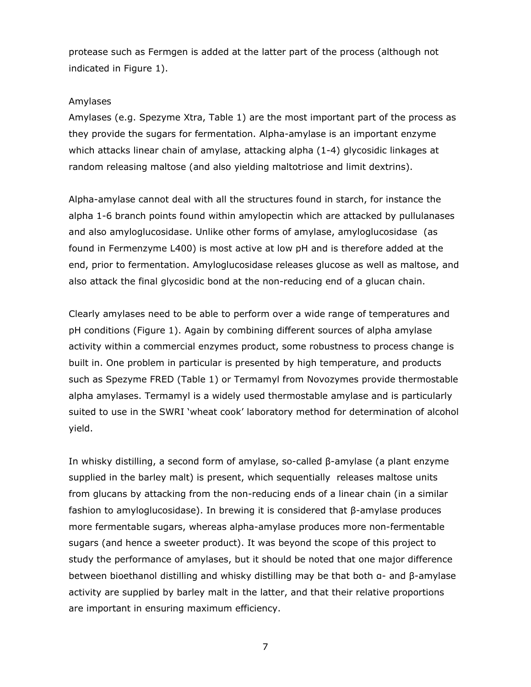protease such as Fermgen is added at the latter part of the process (although not indicated in Figure 1).

#### *Amylases*

Amylases (e.g. Spezyme Xtra, Table 1) are the most important part of the process as they provide the sugars for fermentation. Alpha-amylase is an important enzyme which attacks linear chain of amylase, attacking alpha (1-4) glycosidic linkages at random releasing maltose (and also yielding maltotriose and limit dextrins).

Alpha-amylase cannot deal with all the structures found in starch, for instance the alpha 1-6 branch points found within amylopectin which are attacked by pullulanases and also amyloglucosidase. Unlike other forms of amylase, amyloglucosidase (as found in Fermenzyme L400) is most active at low pH and is therefore added at the end, prior to fermentation. Amyloglucosidase releases glucose as well as maltose, and also attack the final glycosidic bond at the non-reducing end of a glucan chain.

Clearly amylases need to be able to perform over a wide range of temperatures and pH conditions (Figure 1). Again by combining different sources of alpha amylase activity within a commercial enzymes product, some robustness to process change is built in. One problem in particular is presented by high temperature, and products such as Spezyme FRED (Table 1) or Termamyl from Novozymes provide thermostable alpha amylases. Termamyl is a widely used thermostable amylase and is particularly suited to use in the SWRI 'wheat cook' laboratory method for determination of alcohol yield.

In whisky distilling, a second form of amylase, so-called β-amylase (a plant enzyme supplied in the barley malt) is present, which sequentially releases maltose units from glucans by attacking from the non-reducing ends of a linear chain (in a similar fashion to amyloglucosidase). In brewing it is considered that β-amylase produces more fermentable sugars, whereas alpha-amylase produces more non-fermentable sugars (and hence a sweeter product). It was beyond the scope of this project to study the performance of amylases, but it should be noted that one major difference between bioethanol distilling and whisky distilling may be that both α- and β-amylase activity are supplied by barley malt in the latter, and that their relative proportions are important in ensuring maximum efficiency.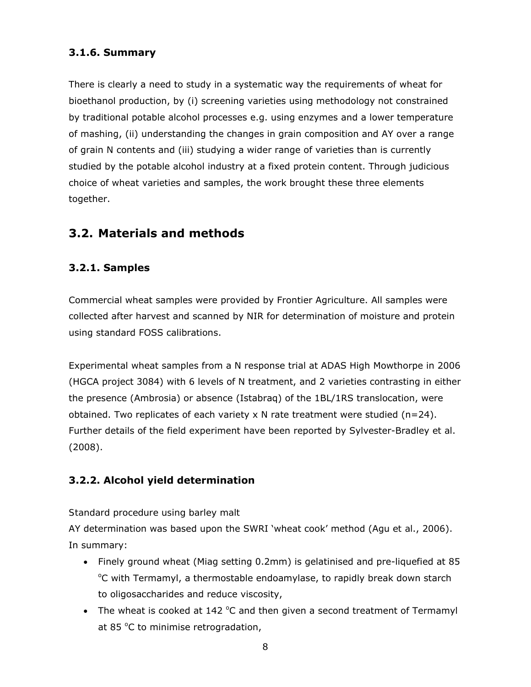# **3.1.6. Summary**

There is clearly a need to study in a systematic way the requirements of wheat for bioethanol production, by (i) screening varieties using methodology not constrained by traditional potable alcohol processes e.g. using enzymes and a lower temperature of mashing, (ii) understanding the changes in grain composition and AY over a range of grain N contents and (iii) studying a wider range of varieties than is currently studied by the potable alcohol industry at a fixed protein content. Through judicious choice of wheat varieties and samples, the work brought these three elements together.

# **3.2. Materials and methods**

# **3.2.1. Samples**

Commercial wheat samples were provided by Frontier Agriculture. All samples were collected after harvest and scanned by NIR for determination of moisture and protein using standard FOSS calibrations.

Experimental wheat samples from a N response trial at ADAS High Mowthorpe in 2006 (HGCA project 3084) with 6 levels of N treatment, and 2 varieties contrasting in either the presence (Ambrosia) or absence (Istabraq) of the 1BL/1RS translocation, were obtained. Two replicates of each variety  $x$  N rate treatment were studied (n=24). Further details of the field experiment have been reported by Sylvester-Bradley *et al*. (2008).

# **3.2.2. Alcohol yield determination**

### *Standard procedure using barley malt*

AY determination was based upon the SWRI 'wheat cook' method (Agu *et al*., 2006). In summary:

- Finely ground wheat (Miag setting 0.2mm) is gelatinised and pre-liquefied at 85 <sup>o</sup>C with Termamyl, a thermostable endoamylase, to rapidly break down starch to oligosaccharides and reduce viscosity,
- The wheat is cooked at  $142^{\circ}$ C and then given a second treatment of Termamyl at 85 $\degree$ C to minimise retrogradation,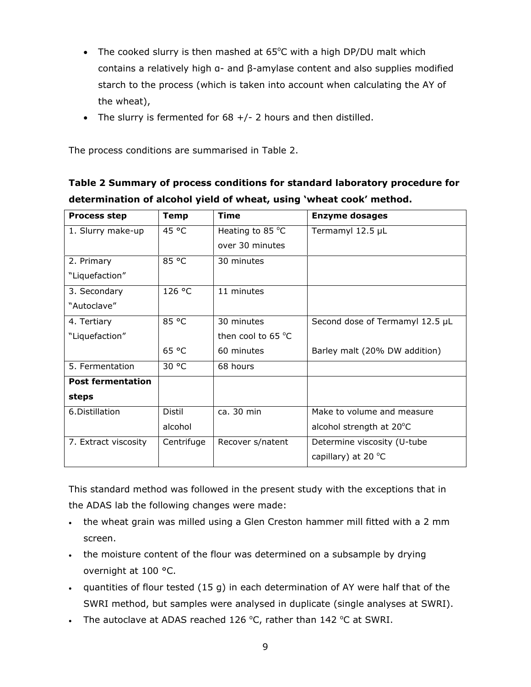- The cooked slurry is then mashed at  $65^{\circ}$ C with a high DP/DU malt which contains a relatively high α- and β-amylase content and also supplies modified starch to the process (which is taken into account when calculating the AY of the wheat),
- The slurry is fermented for  $68 + / -$  2 hours and then distilled.

The process conditions are summarised in Table 2.

| determination of alcohol yield of wheat, using 'wheat cook' method. |             |                            |                                 |  |  |  |  |  |
|---------------------------------------------------------------------|-------------|----------------------------|---------------------------------|--|--|--|--|--|
| <b>Process step</b>                                                 | <b>Temp</b> | <b>Time</b>                | <b>Enzyme dosages</b>           |  |  |  |  |  |
| 1. Slurry make-up                                                   | 45 °C       | Heating to 85 $^{\circ}$ C | Termamyl 12.5 µL                |  |  |  |  |  |
|                                                                     |             | over 30 minutes            |                                 |  |  |  |  |  |
| 2. Primary                                                          | 85 °C       | 30 minutes                 |                                 |  |  |  |  |  |
| "Liquefaction"                                                      |             |                            |                                 |  |  |  |  |  |
| 3. Secondary                                                        | 126 °C      | 11 minutes                 |                                 |  |  |  |  |  |
| "Autoclave"                                                         |             |                            |                                 |  |  |  |  |  |
| 4. Tertiary                                                         | 85 °C       | 30 minutes                 | Second dose of Termamyl 12.5 µL |  |  |  |  |  |
| "Liquefaction"                                                      |             | then cool to 65 °C         |                                 |  |  |  |  |  |
|                                                                     | 65 °C       | 60 minutes                 | Barley malt (20% DW addition)   |  |  |  |  |  |
| 5. Fermentation                                                     | 30 °C       | 68 hours                   |                                 |  |  |  |  |  |
| <b>Post fermentation</b>                                            |             |                            |                                 |  |  |  |  |  |
| steps                                                               |             |                            |                                 |  |  |  |  |  |
| 6.Distillation                                                      | Distil      | $ca.30$ min                | Make to volume and measure      |  |  |  |  |  |
|                                                                     | alcohol     |                            | alcohol strength at 20°C        |  |  |  |  |  |

**Table 2 Summary of process conditions for standard laboratory procedure for** 

This standard method was followed in the present study with the exceptions that in the ADAS lab the following changes were made:

capillary) at 20 $°C$ 

7. Extract viscosity  $\int$  Centrifuge Recover s/natent Betermine viscosity (U-tube

- the wheat grain was milled using a Glen Creston hammer mill fitted with a 2 mm screen.
- the moisture content of the flour was determined on a subsample by drying overnight at 100 °C.
- quantities of flour tested (15 g) in each determination of AY were half that of the SWRI method, but samples were analysed in duplicate (single analyses at SWRI).
- The autoclave at ADAS reached 126  $^{\circ}$ C, rather than 142  $^{\circ}$ C at SWRI.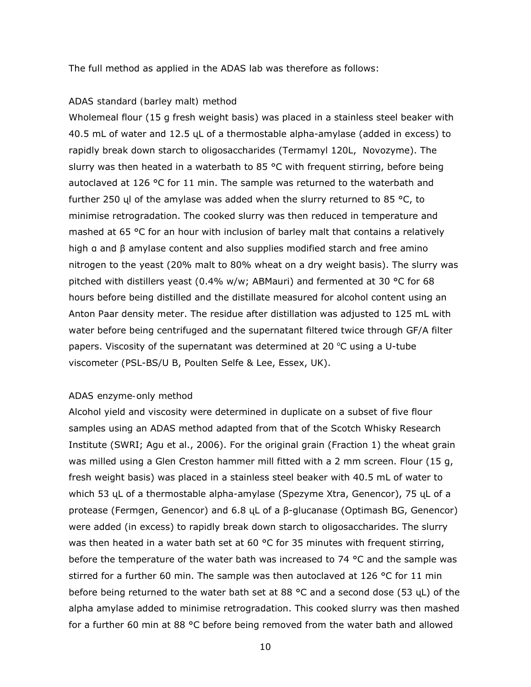The full method as applied in the ADAS lab was therefore as follows:

#### *ADAS standard (barley malt) method*

Wholemeal flour (15 g fresh weight basis) was placed in a stainless steel beaker with 40.5 mL of water and 12.5 ųL of a thermostable alpha-amylase (added in excess) to rapidly break down starch to oligosaccharides (Termamyl 120L, Novozyme). The slurry was then heated in a waterbath to 85  $\degree$ C with frequent stirring, before being autoclaved at 126 °C for 11 min. The sample was returned to the waterbath and further 250 yl of the amylase was added when the slurry returned to 85  $\degree$ C, to minimise retrogradation. The cooked slurry was then reduced in temperature and mashed at 65 °C for an hour with inclusion of barley malt that contains a relatively high α and β amylase content and also supplies modified starch and free amino nitrogen to the yeast (20% malt to 80% wheat on a dry weight basis). The slurry was pitched with distillers yeast (0.4% w/w; ABMauri) and fermented at 30 °C for 68 hours before being distilled and the distillate measured for alcohol content using an Anton Paar density meter. The residue after distillation was adjusted to 125 mL with water before being centrifuged and the supernatant filtered twice through GF/A filter papers. Viscosity of the supernatant was determined at 20  $^{\circ}$ C using a U-tube viscometer (PSL-BS/U B, Poulten Selfe & Lee, Essex, UK).

#### *ADAS enzyme-only method*

Alcohol yield and viscosity were determined in duplicate on a subset of five flour samples using an ADAS method adapted from that of the Scotch Whisky Research Institute (SWRI; Agu et al., 2006). For the original grain (Fraction 1) the wheat grain was milled using a Glen Creston hammer mill fitted with a 2 mm screen. Flour (15 g, fresh weight basis) was placed in a stainless steel beaker with 40.5 mL of water to which 53 ųL of a thermostable alpha-amylase (Spezyme Xtra, Genencor), 75 ųL of a protease (Fermgen, Genencor) and 6.8 ųL of a β-glucanase (Optimash BG, Genencor) were added (in excess) to rapidly break down starch to oligosaccharides. The slurry was then heated in a water bath set at 60 °C for 35 minutes with frequent stirring, before the temperature of the water bath was increased to 74  $\degree$ C and the sample was stirred for a further 60 min. The sample was then autoclaved at 126 °C for 11 min before being returned to the water bath set at 88  $^{\circ}$ C and a second dose (53 yL) of the alpha amylase added to minimise retrogradation. This cooked slurry was then mashed for a further 60 min at 88 °C before being removed from the water bath and allowed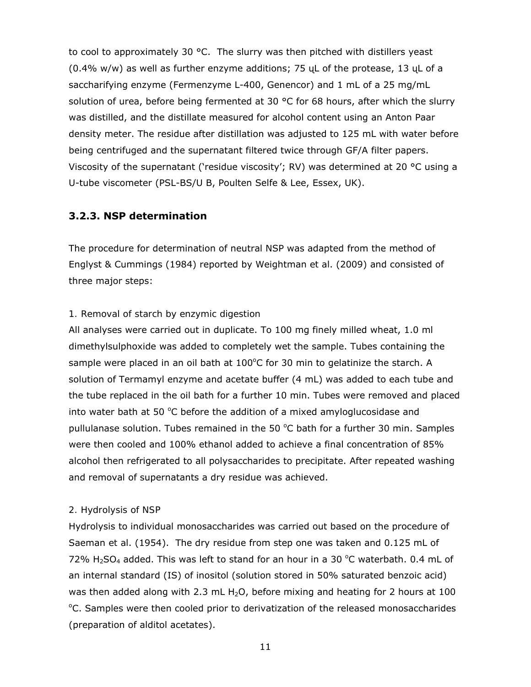to cool to approximately 30 °C. The slurry was then pitched with distillers yeast (0.4% w/w) as well as further enzyme additions; 75 ųL of the protease, 13 ųL of a saccharifying enzyme (Fermenzyme L-400, Genencor) and 1 mL of a 25 mg/mL solution of urea, before being fermented at 30  $\degree$ C for 68 hours, after which the slurry was distilled, and the distillate measured for alcohol content using an Anton Paar density meter. The residue after distillation was adjusted to 125 mL with water before being centrifuged and the supernatant filtered twice through GF/A filter papers. Viscosity of the supernatant ('residue viscosity'; RV) was determined at 20 °C using a U-tube viscometer (PSL-BS/U B, Poulten Selfe & Lee, Essex, UK).

### **3.2.3. NSP determination**

The procedure for determination of neutral NSP was adapted from the method of Englyst & Cummings (1984) reported by Weightman *et al*. (2009) and consisted of three major steps:

#### *1. Removal of starch by enzymic digestion*

All analyses were carried out in duplicate. To 100 mg finely milled wheat, 1.0 ml dimethylsulphoxide was added to completely wet the sample. Tubes containing the sample were placed in an oil bath at  $100^{\circ}$ C for 30 min to gelatinize the starch. A solution of Termamyl enzyme and acetate buffer (4 mL) was added to each tube and the tube replaced in the oil bath for a further 10 min. Tubes were removed and placed into water bath at 50  $\degree$ C before the addition of a mixed amyloglucosidase and pullulanase solution. Tubes remained in the 50  $^{\circ}$ C bath for a further 30 min. Samples were then cooled and 100% ethanol added to achieve a final concentration of 85% alcohol then refrigerated to all polysaccharides to precipitate. After repeated washing and removal of supernatants a dry residue was achieved.

#### *2. Hydrolysis of NSP*

Hydrolysis to individual monosaccharides was carried out based on the procedure of Saeman *et al*. (1954). The dry residue from step one was taken and 0.125 mL of 72%  $H<sub>2</sub>SO<sub>4</sub>$  added. This was left to stand for an hour in a 30 °C waterbath. 0.4 mL of an internal standard (IS) of inositol (solution stored in 50% saturated benzoic acid) was then added along with 2.3 mL  $H_2O$ , before mixing and heating for 2 hours at 100 <sup>o</sup>C. Samples were then cooled prior to derivatization of the released monosaccharides (preparation of alditol acetates).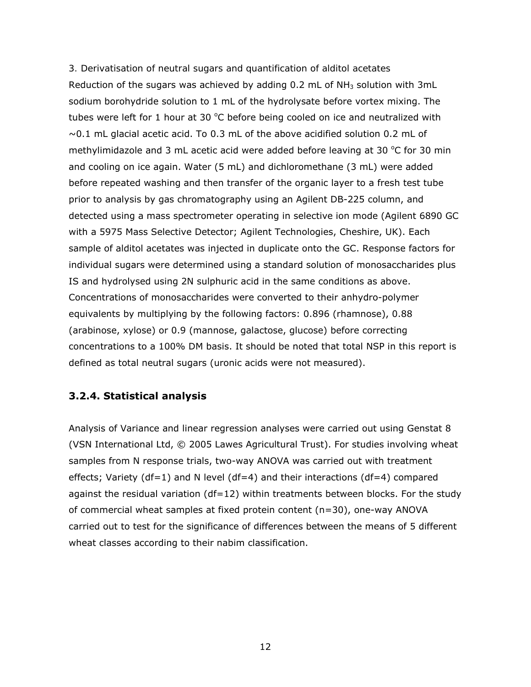#### *3. Derivatisation of neutral sugars and quantification of alditol acetates*

Reduction of the sugars was achieved by adding  $0.2$  mL of NH<sub>3</sub> solution with 3mL sodium borohydride solution to 1 mL of the hydrolysate before vortex mixing. The tubes were left for 1 hour at 30  $^{\circ}$ C before being cooled on ice and neutralized with  $\sim$ 0.1 mL glacial acetic acid. To 0.3 mL of the above acidified solution 0.2 mL of methylimidazole and 3 mL acetic acid were added before leaving at 30  $^{\circ}$ C for 30 min and cooling on ice again. Water (5 mL) and dichloromethane (3 mL) were added before repeated washing and then transfer of the organic layer to a fresh test tube prior to analysis by gas chromatography using an Agilent DB-225 column, and detected using a mass spectrometer operating in selective ion mode (Agilent 6890 GC with a 5975 Mass Selective Detector; Agilent Technologies, Cheshire, UK). Each sample of alditol acetates was injected in duplicate onto the GC. Response factors for individual sugars were determined using a standard solution of monosaccharides plus IS and hydrolysed using 2N sulphuric acid in the same conditions as above. Concentrations of monosaccharides were converted to their anhydro-polymer equivalents by multiplying by the following factors: 0.896 (rhamnose), 0.88 (arabinose, xylose) or 0.9 (mannose, galactose, glucose) before correcting concentrations to a 100% DM basis. It should be noted that total NSP in this report is defined as total neutral sugars (uronic acids were not measured).

### **3.2.4. Statistical analysis**

Analysis of Variance and linear regression analyses were carried out using Genstat 8 (VSN International Ltd, © 2005 Lawes Agricultural Trust). For studies involving wheat samples from N response trials, two-way ANOVA was carried out with treatment effects; Variety (df=1) and N level (df=4) and their interactions (df=4) compared against the residual variation  $(df=12)$  within treatments between blocks. For the study of commercial wheat samples at fixed protein content (n=30), one-way ANOVA carried out to test for the significance of differences between the means of 5 different wheat classes according to their nabim classification.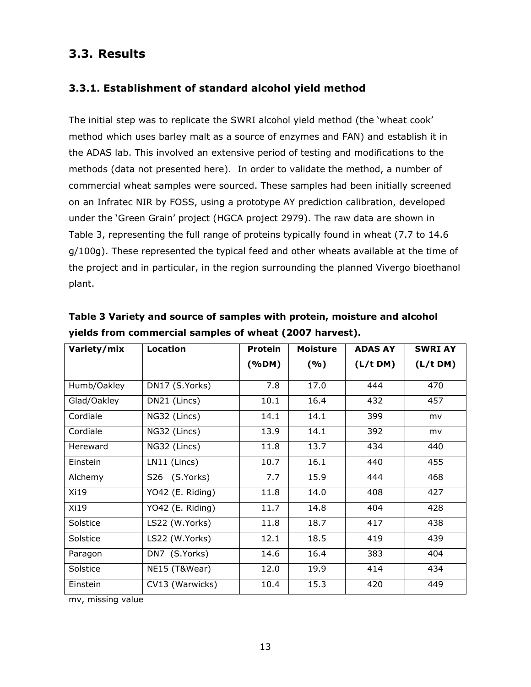# **3.3. Results**

# **3.3.1. Establishment of standard alcohol yield method**

The initial step was to replicate the SWRI alcohol yield method (the 'wheat cook' method which uses barley malt as a source of enzymes and FAN) and establish it in the ADAS lab. This involved an extensive period of testing and modifications to the methods (data not presented here). In order to validate the method, a number of commercial wheat samples were sourced. These samples had been initially screened on an Infratec NIR by FOSS, using a prototype AY prediction calibration, developed under the 'Green Grain' project (HGCA project 2979). The raw data are shown in Table 3, representing the full range of proteins typically found in wheat (7.7 to 14.6 g/100g). These represented the typical feed and other wheats available at the time of the project and in particular, in the region surrounding the planned Vivergo bioethanol plant.

| Variety/mix | Location         | <b>Protein</b> | <b>Moisture</b> | <b>ADAS AY</b> | <b>SWRI AY</b> |
|-------------|------------------|----------------|-----------------|----------------|----------------|
|             |                  | (%DM)          | (%)             | (L/t DM)       | (L/t DM)       |
| Humb/Oakley | DN17 (S.Yorks)   | 7.8            | 17.0            | 444            | 470            |
| Glad/Oakley | DN21 (Lincs)     | 10.1           | 16.4            | 432            | 457            |
| Cordiale    | NG32 (Lincs)     | 14.1           | 14.1            | 399            | mv             |
| Cordiale    | NG32 (Lincs)     | 13.9           | 14.1            | 392            | mv             |
| Hereward    | NG32 (Lincs)     | 11.8           | 13.7            | 434            | 440            |
| Einstein    | LN11 (Lincs)     | 10.7           | 16.1            | 440            | 455            |
| Alchemy     | S26 (S.Yorks)    | 7.7            | 15.9            | 444            | 468            |
| Xi19        | YO42 (E. Riding) | 11.8           | 14.0            | 408            | 427            |
| Xi19        | YO42 (E. Riding) | 11.7           | 14.8            | 404            | 428            |
| Solstice    | LS22 (W.Yorks)   | 11.8           | 18.7            | 417            | 438            |
| Solstice    | LS22 (W.Yorks)   | 12.1           | 18.5            | 419            | 439            |
| Paragon     | DN7 (S.Yorks)    | 14.6           | 16.4            | 383            | 404            |
| Solstice    | NE15 (T&Wear)    | 12.0           | 19.9            | 414            | 434            |
| Einstein    | CV13 (Warwicks)  | 10.4           | 15.3            | 420            | 449            |

**Table 3 Variety and source of samples with protein, moisture and alcohol yields from commercial samples of wheat (2007 harvest).** 

mv, missing value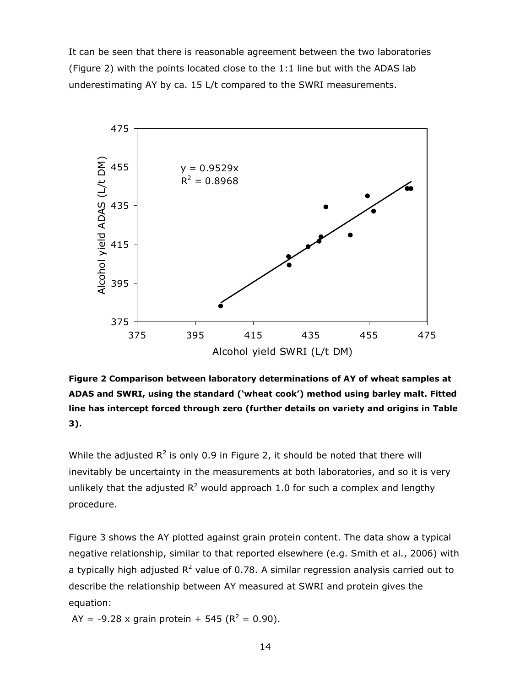It can be seen that there is reasonable agreement between the two laboratories (Figure 2) with the points located close to the 1:1 line but with the ADAS lab underestimating AY by ca. 15 L/t compared to the SWRI measurements.



**Figure 2 Comparison between laboratory determinations of AY of wheat samples at ADAS and SWRI, using the standard ('wheat cook') method using barley malt. Fitted line has intercept forced through zero (further details on variety and origins in Table 3).** 

While the adjusted  $R^2$  is only 0.9 in Figure 2, it should be noted that there will inevitably be uncertainty in the measurements at both laboratories, and so it is very unlikely that the adjusted  $R^2$  would approach 1.0 for such a complex and lengthy procedure.

Figure 3 shows the AY plotted against grain protein content. The data show a typical negative relationship, similar to that reported elsewhere (e.g. Smith *et al*., 2006) with a typically high adjusted  $R^2$  value of 0.78. A similar regression analysis carried out to describe the relationship between AY measured at SWRI and protein gives the equation:

AY = -9.28 x grain protein + 545 ( $R^2$  = 0.90).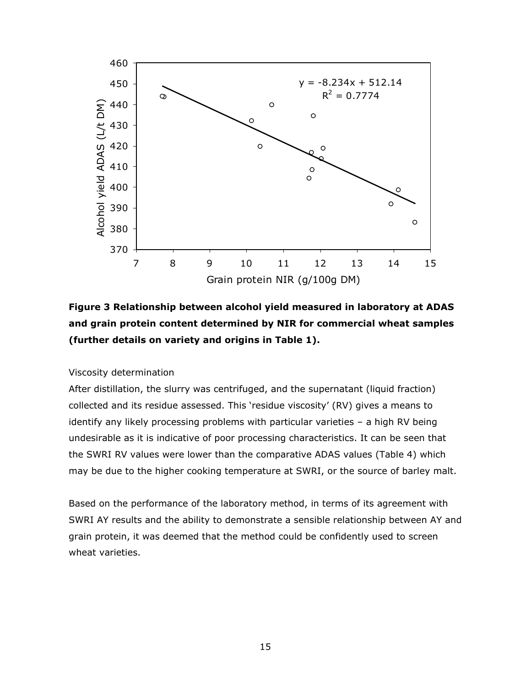

**Figure 3 Relationship between alcohol yield measured in laboratory at ADAS and grain protein content determined by NIR for commercial wheat samples (further details on variety and origins in Table 1).** 

#### *Viscosity determination*

After distillation, the slurry was centrifuged, and the supernatant (liquid fraction) collected and its residue assessed. This 'residue viscosity' (RV) gives a means to identify any likely processing problems with particular varieties – a high RV being undesirable as it is indicative of poor processing characteristics. It can be seen that the SWRI RV values were lower than the comparative ADAS values (Table 4) which may be due to the higher cooking temperature at SWRI, or the source of barley malt.

Based on the performance of the laboratory method, in terms of its agreement with SWRI AY results and the ability to demonstrate a sensible relationship between AY and grain protein, it was deemed that the method could be confidently used to screen wheat varieties.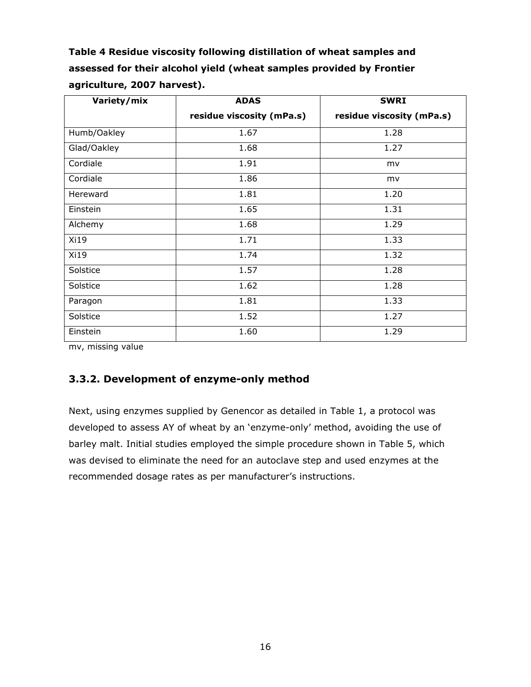**Table 4 Residue viscosity following distillation of wheat samples and assessed for their alcohol yield (wheat samples provided by Frontier agriculture, 2007 harvest).** 

| Variety/mix | <b>ADAS</b>               | <b>SWRI</b>               |
|-------------|---------------------------|---------------------------|
|             | residue viscosity (mPa.s) | residue viscosity (mPa.s) |
| Humb/Oakley | 1.67                      | 1.28                      |
| Glad/Oakley | 1.68                      | 1.27                      |
| Cordiale    | 1.91                      | mv                        |
| Cordiale    | 1.86                      | mv                        |
| Hereward    | 1.81                      | 1.20                      |
| Einstein    | 1.65                      | 1.31                      |
| Alchemy     | 1.68                      | 1.29                      |
| Xi19        | 1.71                      | 1.33                      |
| Xi19        | 1.74                      | 1.32                      |
| Solstice    | 1.57                      | 1.28                      |
| Solstice    | 1.62                      | 1.28                      |
| Paragon     | 1.81                      | 1.33                      |
| Solstice    | 1.52                      | 1.27                      |
| Einstein    | 1.60                      | 1.29                      |

mv, missing value

# **3.3.2. Development of enzyme-only method**

Next, using enzymes supplied by Genencor as detailed in Table 1, a protocol was developed to assess AY of wheat by an 'enzyme-only' method, avoiding the use of barley malt. Initial studies employed the simple procedure shown in Table 5, which was devised to eliminate the need for an autoclave step and used enzymes at the recommended dosage rates as per manufacturer's instructions.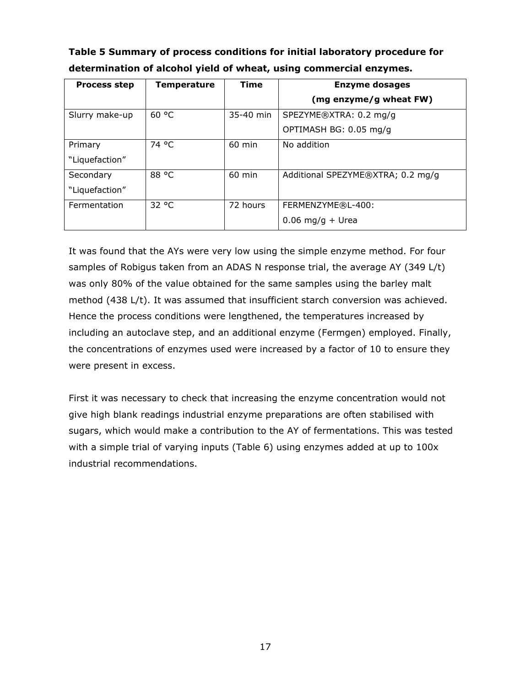**Table 5 Summary of process conditions for initial laboratory procedure for determination of alcohol yield of wheat, using commercial enzymes.** 

| <b>Process step</b> | Temperature | <b>Time</b> | <b>Enzyme dosages</b>             |
|---------------------|-------------|-------------|-----------------------------------|
|                     |             |             | (mg enzyme/g wheat FW)            |
| Slurry make-up      | 60 °C       | 35-40 min   | SPEZYME®XTRA: 0.2 mg/g            |
|                     |             |             | OPTIMASH BG: 0.05 mg/g            |
| Primary             | 74 °C       | 60 min      | No addition                       |
| "Liquefaction"      |             |             |                                   |
| Secondary           | 88 °C       | 60 min      | Additional SPEZYME®XTRA; 0.2 mg/g |
| "Liquefaction"      |             |             |                                   |
| Fermentation        | 32 °C       | 72 hours    | FERMENZYME®L-400:                 |
|                     |             |             | $0.06$ mg/g + Urea                |

It was found that the AYs were very low using the simple enzyme method. For four samples of Robigus taken from an ADAS N response trial, the average AY (349 L/t) was only 80% of the value obtained for the same samples using the barley malt method (438 L/t). It was assumed that insufficient starch conversion was achieved. Hence the process conditions were lengthened, the temperatures increased by including an autoclave step, and an additional enzyme (Fermgen) employed. Finally, the concentrations of enzymes used were increased by a factor of 10 to ensure they were present in excess.

First it was necessary to check that increasing the enzyme concentration would not give high blank readings industrial enzyme preparations are often stabilised with sugars, which would make a contribution to the AY of fermentations. This was tested with a simple trial of varying inputs (Table 6) using enzymes added at up to 100x industrial recommendations.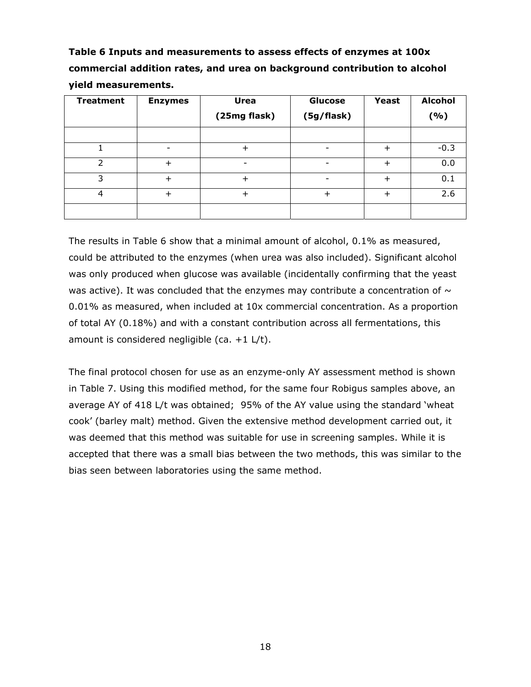**Table 6 Inputs and measurements to assess effects of enzymes at 100x commercial addition rates, and urea on background contribution to alcohol yield measurements.** 

| <b>Treatment</b> | <b>Enzymes</b> | <b>Urea</b>  | Glucose    | <b>Yeast</b> | <b>Alcohol</b> |
|------------------|----------------|--------------|------------|--------------|----------------|
|                  |                | (25mg flask) | (5g/flask) |              | ( %)           |
|                  |                |              |            |              |                |
|                  |                | ╇            |            | $\pm$        | $-0.3$         |
| $\mathcal{P}$    |                |              |            | ┿            | 0.0            |
| 3                | $\div$         | $\div$       |            | $\div$       | 0.1            |
| 4                |                | $\div$       | ┿          | $\div$       | 2.6            |
|                  |                |              |            |              |                |

The results in Table 6 show that a minimal amount of alcohol, 0.1% as measured, could be attributed to the enzymes (when urea was also included). Significant alcohol was only produced when glucose was available (incidentally confirming that the yeast was active). It was concluded that the enzymes may contribute a concentration of  $\sim$ 0.01% as measured, when included at 10x commercial concentration. As a proportion of total AY (0.18%) and with a constant contribution across all fermentations, this amount is considered negligible (*ca*. +1 L/t).

The final protocol chosen for use as an enzyme-only AY assessment method is shown in Table 7. Using this modified method, for the same four Robigus samples above, an average AY of 418 L/t was obtained; 95% of the AY value using the standard 'wheat cook' (barley malt) method. Given the extensive method development carried out, it was deemed that this method was suitable for use in screening samples. While it is accepted that there was a small bias between the two methods, this was similar to the bias seen between laboratories using the same method.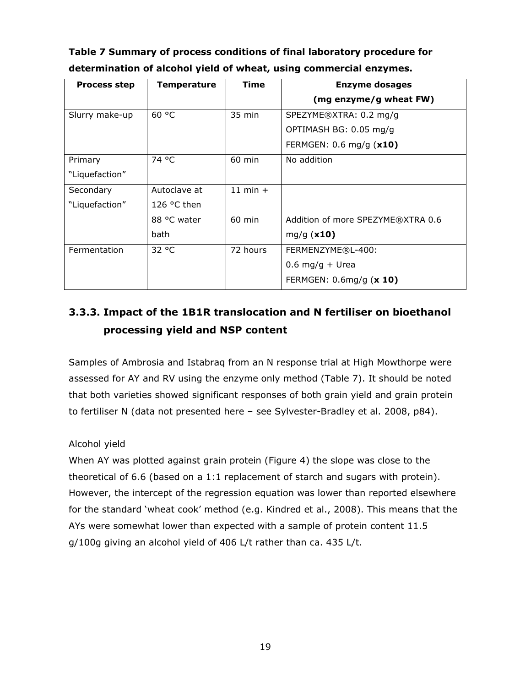| Table 7 Summary of process conditions of final laboratory procedure for |
|-------------------------------------------------------------------------|
| determination of alcohol yield of wheat, using commercial enzymes.      |

| <b>Process step</b> | Temperature          | Time             | <b>Enzyme dosages</b>             |
|---------------------|----------------------|------------------|-----------------------------------|
|                     |                      |                  | (mg enzyme/g wheat FW)            |
| Slurry make-up      | 60 °C                | $35 \text{ min}$ | SPEZYME®XTRA: 0.2 mg/g            |
|                     |                      |                  | OPTIMASH BG: 0.05 mg/g            |
|                     |                      |                  | FERMGEN: 0.6 mg/g (x10)           |
| Primary             | 74 °C                | 60 min           | No addition                       |
| "Liquefaction"      |                      |                  |                                   |
| Secondary           | Autoclave at         | $11$ min $+$     |                                   |
| "Liquefaction"      | 126 $\degree$ C then |                  |                                   |
|                     | 88 °C water          | $60$ min         | Addition of more SPEZYME®XTRA 0.6 |
|                     | bath                 |                  | mg/g $(x10)$                      |
| Fermentation        | 32 °C                | 72 hours         | FERMENZYME®L-400:                 |
|                     |                      |                  | $0.6$ mg/g + Urea                 |
|                     |                      |                  | FERMGEN: 0.6mg/g (x 10)           |

# **3.3.3. Impact of the 1B1R translocation and N fertiliser on bioethanol processing yield and NSP content**

Samples of Ambrosia and Istabraq from an N response trial at High Mowthorpe were assessed for AY and RV using the enzyme only method (Table 7). It should be noted that both varieties showed significant responses of both grain yield and grain protein to fertiliser N (data not presented here – see Sylvester-Bradley *et al*. 2008, p84).

### *Alcohol yield*

When AY was plotted against grain protein (Figure 4) the slope was close to the theoretical of 6.6 (based on a 1:1 replacement of starch and sugars with protein). However, the intercept of the regression equation was lower than reported elsewhere for the standard 'wheat cook' method (e.g. Kindred *et al*., 2008). This means that the AYs were somewhat lower than expected with a sample of protein content 11.5 g/100g giving an alcohol yield of 406 L/t rather than *ca*. 435 L/t.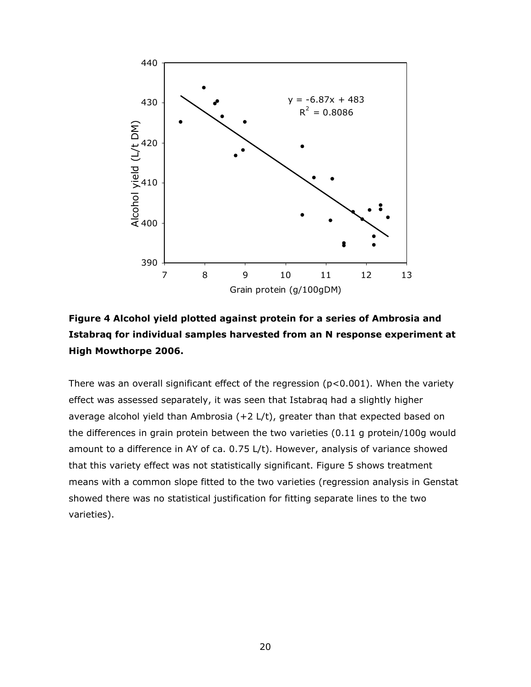



There was an overall significant effect of the regression ( $p<0.001$ ). When the variety effect was assessed separately, it was seen that Istabraq had a slightly higher average alcohol yield than Ambrosia (+2 L/t), greater than that expected based on the differences in grain protein between the two varieties (0.11 g protein/100g would amount to a difference in AY of *ca*. 0.75 L/t). However, analysis of variance showed that this variety effect was not statistically significant. Figure 5 shows treatment means with a common slope fitted to the two varieties (regression analysis in Genstat showed there was no statistical justification for fitting separate lines to the two varieties).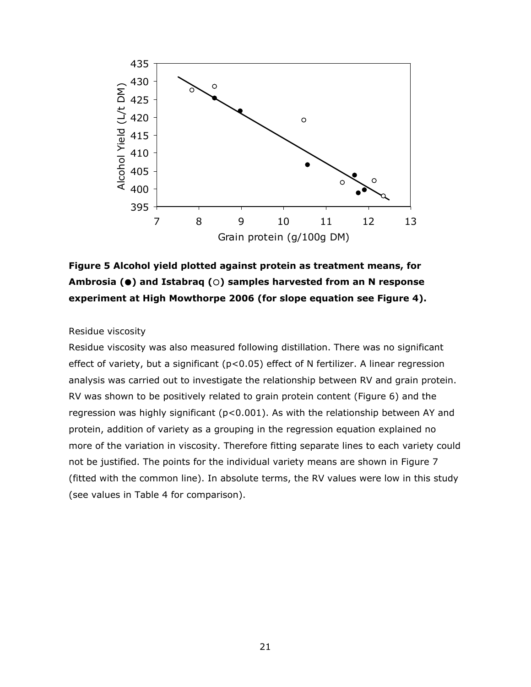



#### *Residue viscosity*

Residue viscosity was also measured following distillation. There was no significant effect of variety, but a significant (p<0.05) effect of N fertilizer. A linear regression analysis was carried out to investigate the relationship between RV and grain protein. RV was shown to be positively related to grain protein content (Figure 6) and the regression was highly significant ( $p<0.001$ ). As with the relationship between AY and protein, addition of variety as a grouping in the regression equation explained no more of the variation in viscosity. Therefore fitting separate lines to each variety could not be justified. The points for the individual variety means are shown in Figure 7 (fitted with the common line). In absolute terms, the RV values were low in this study (see values in Table 4 for comparison).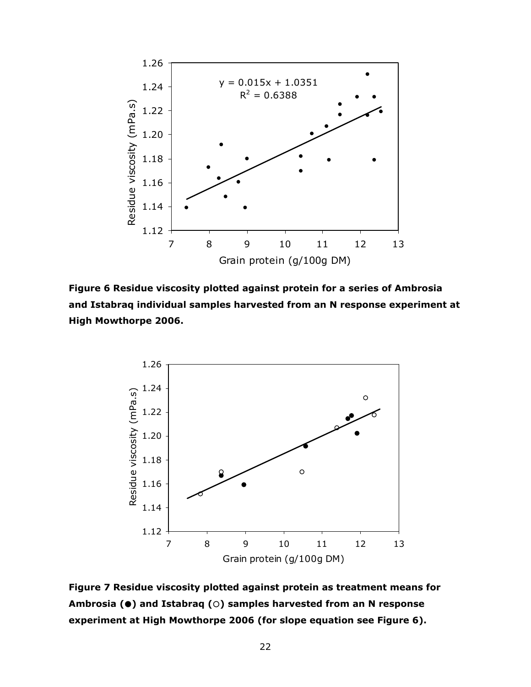

**Figure 6 Residue viscosity plotted against protein for a series of Ambrosia and Istabraq individual samples harvested from an N response experiment at High Mowthorpe 2006.** 



**Figure 7 Residue viscosity plotted against protein as treatment means for Ambrosia (**z**) and Istabraq (**{**) samples harvested from an N response experiment at High Mowthorpe 2006 (for slope equation see Figure 6).**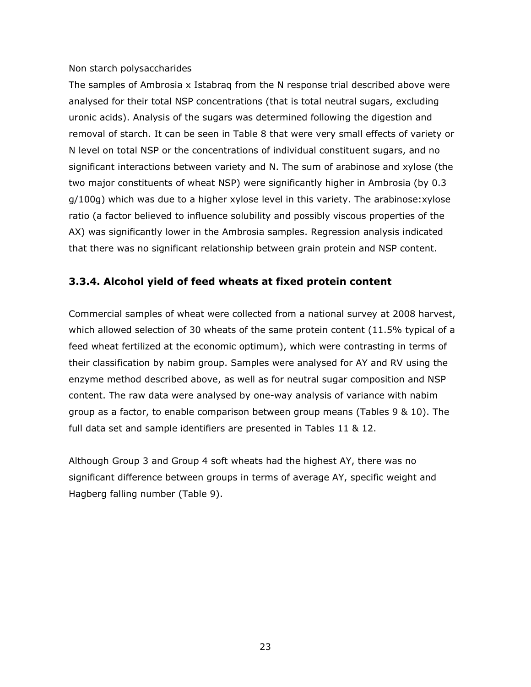#### *Non starch polysaccharides*

The samples of Ambrosia x Istabraq from the N response trial described above were analysed for their total NSP concentrations (that is total neutral sugars, excluding uronic acids). Analysis of the sugars was determined following the digestion and removal of starch. It can be seen in Table 8 that were very small effects of variety or N level on total NSP or the concentrations of individual constituent sugars, and no significant interactions between variety and N. The sum of arabinose and xylose (the two major constituents of wheat NSP) were significantly higher in Ambrosia (by 0.3 g/100g) which was due to a higher xylose level in this variety. The arabinose:xylose ratio (a factor believed to influence solubility and possibly viscous properties of the AX) was significantly lower in the Ambrosia samples. Regression analysis indicated that there was no significant relationship between grain protein and NSP content.

### **3.3.4. Alcohol yield of feed wheats at fixed protein content**

Commercial samples of wheat were collected from a national survey at 2008 harvest, which allowed selection of 30 wheats of the same protein content (11.5% typical of a feed wheat fertilized at the economic optimum), which were contrasting in terms of their classification by nabim group. Samples were analysed for AY and RV using the enzyme method described above, as well as for neutral sugar composition and NSP content. The raw data were analysed by one-way analysis of variance with nabim group as a factor, to enable comparison between group means (Tables 9 & 10). The full data set and sample identifiers are presented in Tables 11 & 12.

Although Group 3 and Group 4 soft wheats had the highest AY, there was no significant difference between groups in terms of average AY, specific weight and Hagberg falling number (Table 9).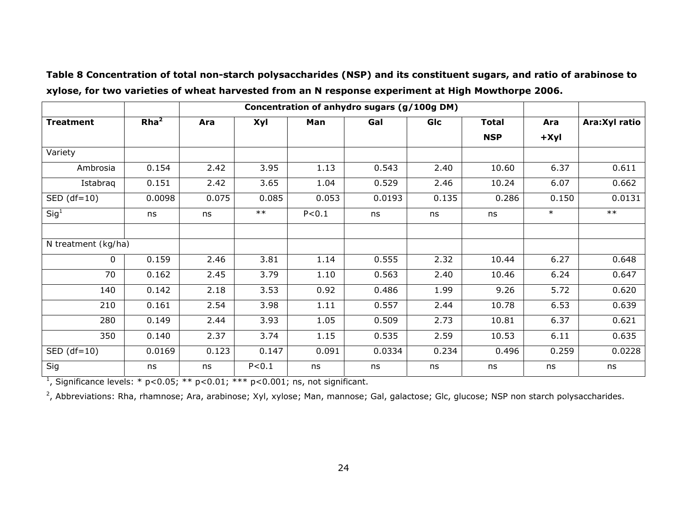|                     |                  | Concentration of anhydro sugars (g/100g DM) |         |         |        |       |              |            |                |
|---------------------|------------------|---------------------------------------------|---------|---------|--------|-------|--------------|------------|----------------|
| <b>Treatment</b>    | Rha <sup>2</sup> | Ara                                         | Xyl     | Man     | Gal    | GIc   | <b>Total</b> | Ara        | Ara: Xyl ratio |
|                     |                  |                                             |         |         |        |       | <b>NSP</b>   | $+$ $X$ yl |                |
| Variety             |                  |                                             |         |         |        |       |              |            |                |
| Ambrosia            | 0.154            | $\overline{2.42}$                           | 3.95    | 1.13    | 0.543  | 2.40  | 10.60        | 6.37       | 0.611          |
| Istabraq            | 0.151            | 2.42                                        | 3.65    | 1.04    | 0.529  | 2.46  | 10.24        | 6.07       | 0.662          |
| $SED (df=10)$       | 0.0098           | 0.075                                       | 0.085   | 0.053   | 0.0193 | 0.135 | 0.286        | 0.150      | 0.0131         |
| Sig <sup>1</sup>    | ns               | ns                                          | $***$   | P < 0.1 | ns     | ns    | ns           | $\ast$     | $**$           |
|                     |                  |                                             |         |         |        |       |              |            |                |
| N treatment (kg/ha) |                  |                                             |         |         |        |       |              |            |                |
| $\Omega$            | 0.159            | 2.46                                        | 3.81    | 1.14    | 0.555  | 2.32  | 10.44        | 6.27       | 0.648          |
| 70                  | 0.162            | 2.45                                        | 3.79    | 1.10    | 0.563  | 2.40  | 10.46        | 6.24       | 0.647          |
| 140                 | 0.142            | 2.18                                        | 3.53    | 0.92    | 0.486  | 1.99  | 9.26         | 5.72       | 0.620          |
| 210                 | 0.161            | 2.54                                        | 3.98    | 1.11    | 0.557  | 2.44  | 10.78        | 6.53       | 0.639          |
| 280                 | 0.149            | 2.44                                        | 3.93    | 1.05    | 0.509  | 2.73  | 10.81        | 6.37       | 0.621          |
| 350                 | 0.140            | 2.37                                        | 3.74    | 1.15    | 0.535  | 2.59  | 10.53        | 6.11       | 0.635          |
| $SED (df=10)$       | 0.0169           | 0.123                                       | 0.147   | 0.091   | 0.0334 | 0.234 | 0.496        | 0.259      | 0.0228         |
| Sig                 | ns               | ns                                          | P < 0.1 | ns      | ns     | ns    | ns           | ns         | ns             |

**Table 8 Concentration of total non-starch polysaccharides (NSP) and its constituent sugars, and ratio of arabinose to xylose, for two varieties of wheat harvested from an N response experiment at High Mowthorpe 2006.** 

<sup>1</sup>, Significance levels: \*  $p < 0.05$ ; \*\*  $p < 0.01$ ; \*\*\*  $p < 0.001$ ; ns, not significant.

<sup>2</sup>, Abbreviations: Rha, rhamnose; Ara, arabinose; Xyl, xylose; Man, mannose; Gal, galactose; Glc, glucose; NSP non starch polysaccharides.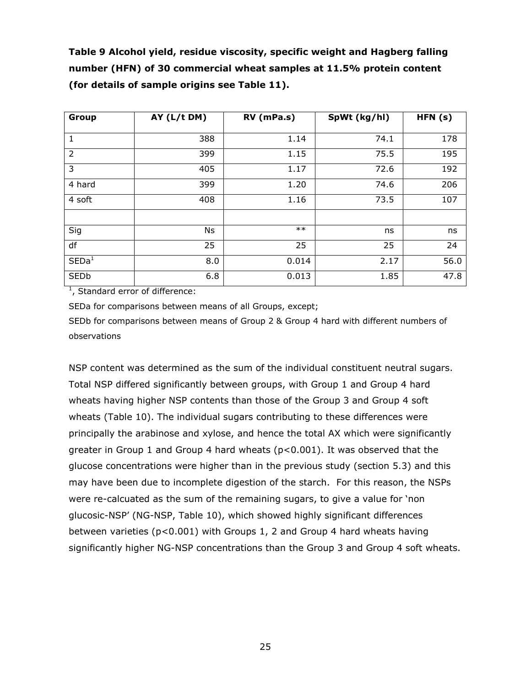**Table 9 Alcohol yield, residue viscosity, specific weight and Hagberg falling number (HFN) of 30 commercial wheat samples at 11.5% protein content (for details of sample origins see Table 11).** 

| Group             | AY (L/t DM) | RV (mPa.s) | SpWt (kg/hl) | HFN (s) |  |
|-------------------|-------------|------------|--------------|---------|--|
| $\mathbf{1}$      | 388         | 1.14       | 74.1         | 178     |  |
| $\overline{2}$    | 399         | 1.15       | 75.5         | 195     |  |
| 3                 | 405         | 1.17       | 72.6         | 192     |  |
| 4 hard            | 399         | 1.20       | 74.6         | 206     |  |
| 4 soft            | 408         | 1.16       | 73.5         | 107     |  |
|                   |             |            |              |         |  |
| Sig               | Ns          | $***$      | ns           | ns      |  |
| df                | 25          | 25         | 25           | 24      |  |
| $\mathsf{SED}a^1$ | 8.0         | 0.014      | 2.17         | 56.0    |  |
| <b>SEDb</b>       | 6.8         | 0.013      | 1.85         | 47.8    |  |

<sup>1</sup>, Standard error of difference:

SED*a* for comparisons between means of all Groups, except;

SED*b* for comparisons between means of Group 2 & Group 4 hard with different numbers of observations

NSP content was determined as the sum of the individual constituent neutral sugars. Total NSP differed significantly between groups, with Group 1 and Group 4 hard wheats having higher NSP contents than those of the Group 3 and Group 4 soft wheats (Table 10). The individual sugars contributing to these differences were principally the arabinose and xylose, and hence the total AX which were significantly greater in Group 1 and Group 4 hard wheats (p<0.001). It was observed that the glucose concentrations were higher than in the previous study (section 5.3) and this may have been due to incomplete digestion of the starch. For this reason, the NSPs were re-calcuated as the sum of the remaining sugars, to give a value for 'non glucosic-NSP' (NG-NSP, Table 10), which showed highly significant differences between varieties (p<0.001) with Groups 1, 2 and Group 4 hard wheats having significantly higher NG-NSP concentrations than the Group 3 and Group 4 soft wheats.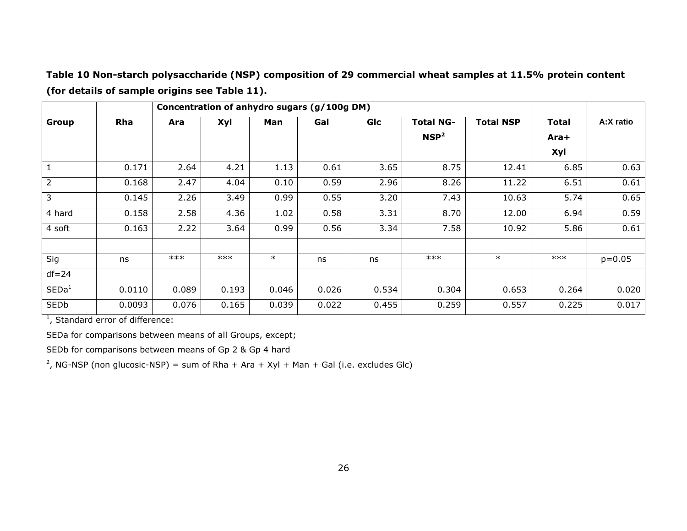**Table 10 Non-starch polysaccharide (NSP) composition of 29 commercial wheat samples at 11.5% protein content (for details of sample origins see Table 11).** 

|                   | Concentration of anhydro sugars (g/100g DM) |       |       |        |       |       |                                      |                  |                      |            |
|-------------------|---------------------------------------------|-------|-------|--------|-------|-------|--------------------------------------|------------------|----------------------|------------|
| Group             | Rha                                         | Ara   | Xyl   | Man    | Gal   | Glc   | <b>Total NG-</b><br>NSP <sup>2</sup> | <b>Total NSP</b> | <b>Total</b><br>Ara+ | A:X ratio  |
|                   |                                             |       |       |        |       |       |                                      |                  | Xyl                  |            |
| $\mathbf{1}$      | 0.171                                       | 2.64  | 4.21  | 1.13   | 0.61  | 3.65  | 8.75                                 | 12.41            | 6.85                 | 0.63       |
| $\overline{2}$    | 0.168                                       | 2.47  | 4.04  | 0.10   | 0.59  | 2.96  | 8.26                                 | 11.22            | 6.51                 | 0.61       |
| 3                 | 0.145                                       | 2.26  | 3.49  | 0.99   | 0.55  | 3.20  | 7.43                                 | 10.63            | 5.74                 | 0.65       |
| 4 hard            | 0.158                                       | 2.58  | 4.36  | 1.02   | 0.58  | 3.31  | 8.70                                 | 12.00            | 6.94                 | 0.59       |
| 4 soft            | 0.163                                       | 2.22  | 3.64  | 0.99   | 0.56  | 3.34  | 7.58                                 | 10.92            | 5.86                 | 0.61       |
|                   |                                             |       |       |        |       |       |                                      |                  |                      |            |
| Sig               | ns                                          | $***$ | $***$ | $\ast$ | ns    | ns    | $***$                                | $\ast$           | $***$                | $p = 0.05$ |
| $df = 24$         |                                             |       |       |        |       |       |                                      |                  |                      |            |
| $\mathsf{SED}a^1$ | 0.0110                                      | 0.089 | 0.193 | 0.046  | 0.026 | 0.534 | 0.304                                | 0.653            | 0.264                | 0.020      |
| $\mathsf{SED}b$   | 0.0093                                      | 0.076 | 0.165 | 0.039  | 0.022 | 0.455 | 0.259                                | 0.557            | 0.225                | 0.017      |

<sup>1</sup>, Standard error of difference:

SED*a* for comparisons between means of all Groups, except;

SED*b* for comparisons between means of Gp 2 & Gp 4 hard

<sup>2</sup>, NG-NSP (non glucosic-NSP) = sum of Rha + Ara + Xyl + Man + Gal (i.e. excludes Glc)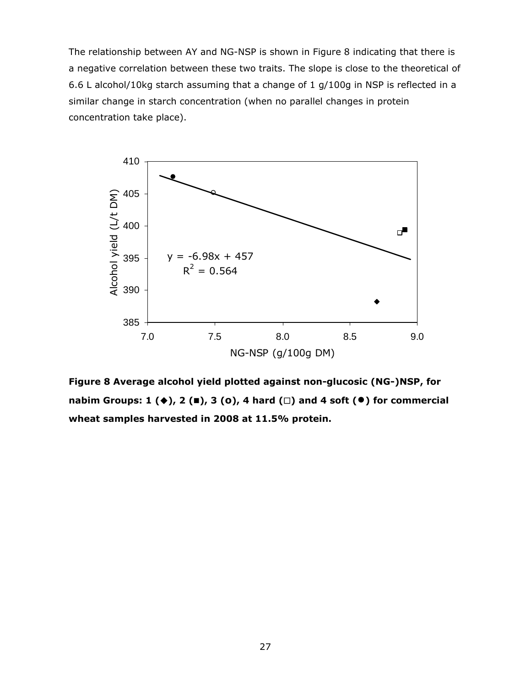The relationship between AY and NG-NSP is shown in Figure 8 indicating that there is a negative correlation between these two traits. The slope is close to the theoretical of 6.6 L alcohol/10kg starch assuming that a change of 1 g/100g in NSP is reflected in a similar change in starch concentration (when no parallel changes in protein concentration take place).



**Figure 8 Average alcohol yield plotted against non-glucosic (NG-)NSP, for**  nabim Groups: 1 (♦), 2 (■), 3 (o), 4 hard (□) and 4 soft (●) for commercial **wheat samples harvested in 2008 at 11.5% protein.**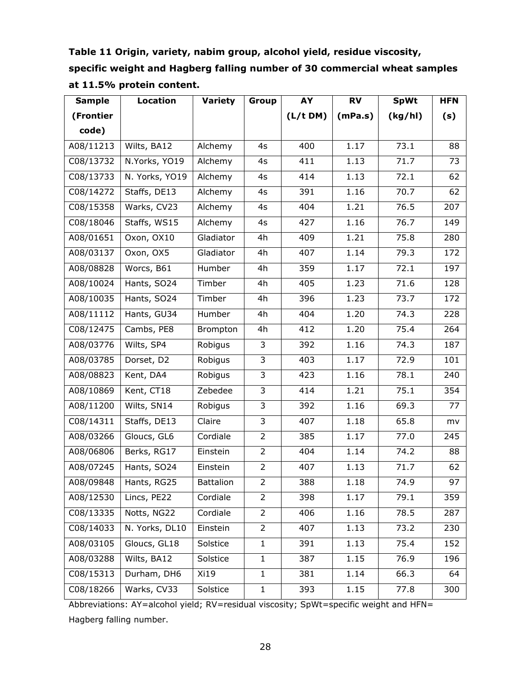| Table 11 Origin, variety, nabim group, alcohol yield, residue viscosity,  |
|---------------------------------------------------------------------------|
| specific weight and Hagberg falling number of 30 commercial wheat samples |
| at 11.5% protein content.                                                 |

| <b>Sample</b> | <b>Location</b> | <b>Variety</b>   | Group          | AY       | <b>RV</b> | <b>SpWt</b> | <b>HFN</b> |
|---------------|-----------------|------------------|----------------|----------|-----------|-------------|------------|
| (Frontier     |                 |                  |                | (L/t DM) | (mPa.s)   | (kg/hl)     | (s)        |
| code)         |                 |                  |                |          |           |             |            |
| A08/11213     | Wilts, BA12     | Alchemy          | 4s             | 400      | 1.17      | 73.1        | 88         |
| C08/13732     | N.Yorks, YO19   | Alchemy          | 4s             | 411      | 1.13      | 71.7        | 73         |
| C08/13733     | N. Yorks, YO19  | Alchemy          | 4s             | 414      | 1.13      | 72.1        | 62         |
| C08/14272     | Staffs, DE13    | Alchemy          | 4s             | 391      | 1.16      | 70.7        | 62         |
| C08/15358     | Warks, CV23     | Alchemy          | 4s             | 404      | 1.21      | 76.5        | 207        |
| C08/18046     | Staffs, WS15    | Alchemy          | 4s             | 427      | 1.16      | 76.7        | 149        |
| A08/01651     | Oxon, OX10      | Gladiator        | 4h             | 409      | 1.21      | 75.8        | 280        |
| A08/03137     | Oxon, OX5       | Gladiator        | 4h             | 407      | 1.14      | 79.3        | 172        |
| A08/08828     | Worcs, B61      | Humber           | 4h             | 359      | 1.17      | 72.1        | 197        |
| A08/10024     | Hants, SO24     | Timber           | 4h             | 405      | 1.23      | 71.6        | 128        |
| A08/10035     | Hants, SO24     | Timber           | 4h             | 396      | 1.23      | 73.7        | 172        |
| A08/11112     | Hants, GU34     | Humber           | 4h             | 404      | 1.20      | 74.3        | 228        |
| C08/12475     | Cambs, PE8      | Brompton         | 4h             | 412      | 1.20      | 75.4        | 264        |
| A08/03776     | Wilts, SP4      | Robigus          | $\overline{3}$ | 392      | 1.16      | 74.3        | 187        |
| A08/03785     | Dorset, D2      | Robigus          | $\overline{3}$ | 403      | 1.17      | 72.9        | 101        |
| A08/08823     | Kent, DA4       | Robigus          | $\overline{3}$ | 423      | 1.16      | 78.1        | 240        |
| A08/10869     | Kent, CT18      | Zebedee          | $\overline{3}$ | 414      | 1.21      | 75.1        | 354        |
| A08/11200     | Wilts, SN14     | Robigus          | 3              | 392      | 1.16      | 69.3        | 77         |
| C08/14311     | Staffs, DE13    | Claire           | $\overline{3}$ | 407      | 1.18      | 65.8        | mv         |
| A08/03266     | Gloucs, GL6     | Cordiale         | $\overline{2}$ | 385      | 1.17      | 77.0        | 245        |
| A08/06806     | Berks, RG17     | Einstein         | $\overline{2}$ | 404      | 1.14      | 74.2        | 88         |
| A08/07245     | Hants, SO24     | Einstein         | $\overline{2}$ | 407      | 1.13      | 71.7        | 62         |
| A08/09848     | Hants, RG25     | <b>Battalion</b> | $\overline{2}$ | 388      | 1.18      | 74.9        | 97         |
| A08/12530     | Lincs, PE22     | Cordiale         | $\overline{2}$ | 398      | 1.17      | 79.1        | 359        |
| C08/13335     | Notts, NG22     | Cordiale         | $\overline{2}$ | 406      | 1.16      | 78.5        | 287        |
| C08/14033     | N. Yorks, DL10  | Einstein         | $\overline{2}$ | 407      | 1.13      | 73.2        | 230        |
| A08/03105     | Gloucs, GL18    | Solstice         | $\mathbf{1}$   | 391      | 1.13      | 75.4        | 152        |
| A08/03288     | Wilts, BA12     | Solstice         | $\mathbf{1}$   | 387      | 1.15      | 76.9        | 196        |
| C08/15313     | Durham, DH6     | Xi19             | $\mathbf{1}$   | 381      | 1.14      | 66.3        | 64         |
| C08/18266     | Warks, CV33     | Solstice         | $\mathbf{1}$   | 393      | 1.15      | 77.8        | 300        |

Abbreviations: AY=alcohol yield; RV=residual viscosity; SpWt=specific weight and HFN= Hagberg falling number.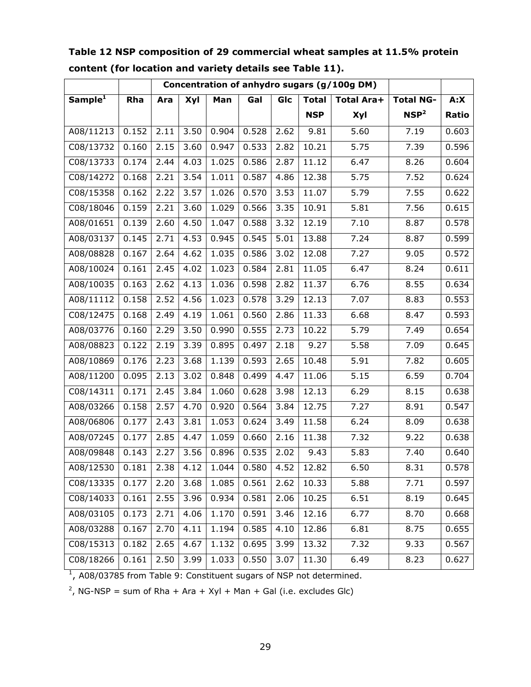| Concentration of anhydro sugars (g/100g DM) |       |                   |      |       |       |      |              |                   |                  |       |
|---------------------------------------------|-------|-------------------|------|-------|-------|------|--------------|-------------------|------------------|-------|
| Sample <sup>1</sup>                         | Rha   | Ara               | Xyl  | Man   | Gal   | GIc  | <b>Total</b> | <b>Total Ara+</b> | <b>Total NG-</b> | A:X   |
|                                             |       |                   |      |       |       |      | <b>NSP</b>   | <b>Xyl</b>        | NSP <sup>2</sup> | Ratio |
| A08/11213                                   | 0.152 | 2.11              | 3.50 | 0.904 | 0.528 | 2.62 | 9.81         | 5.60              | 7.19             | 0.603 |
| C08/13732                                   | 0.160 | 2.15              | 3.60 | 0.947 | 0.533 | 2.82 | 10.21        | 5.75              | 7.39             | 0.596 |
| C08/13733                                   | 0.174 | 2.44              | 4.03 | 1.025 | 0.586 | 2.87 | 11.12        | 6.47              | 8.26             | 0.604 |
| C08/14272                                   | 0.168 | 2.21              | 3.54 | 1.011 | 0.587 | 4.86 | 12.38        | 5.75              | 7.52             | 0.624 |
| C08/15358                                   | 0.162 | 2.22              | 3.57 | 1.026 | 0.570 | 3.53 | 11.07        | 5.79              | 7.55             | 0.622 |
| C08/18046                                   | 0.159 | 2.21              | 3.60 | 1.029 | 0.566 | 3.35 | 10.91        | 5.81              | 7.56             | 0.615 |
| A08/01651                                   | 0.139 | 2.60              | 4.50 | 1.047 | 0.588 | 3.32 | 12.19        | 7.10              | 8.87             | 0.578 |
| A08/03137                                   | 0.145 | 2.71              | 4.53 | 0.945 | 0.545 | 5.01 | 13.88        | 7.24              | 8.87             | 0.599 |
| A08/08828                                   | 0.167 | 2.64              | 4.62 | 1.035 | 0.586 | 3.02 | 12.08        | 7.27              | 9.05             | 0.572 |
| A08/10024                                   | 0.161 | 2.45              | 4.02 | 1.023 | 0.584 | 2.81 | 11.05        | 6.47              | 8.24             | 0.611 |
| A08/10035                                   | 0.163 | 2.62              | 4.13 | 1.036 | 0.598 | 2.82 | 11.37        | 6.76              | 8.55             | 0.634 |
| A08/11112                                   | 0.158 | 2.52              | 4.56 | 1.023 | 0.578 | 3.29 | 12.13        | 7.07              | 8.83             | 0.553 |
| C08/12475                                   | 0.168 | 2.49              | 4.19 | 1.061 | 0.560 | 2.86 | 11.33        | 6.68              | 8.47             | 0.593 |
| A08/03776                                   | 0.160 | 2.29              | 3.50 | 0.990 | 0.555 | 2.73 | 10.22        | 5.79              | 7.49             | 0.654 |
| A08/08823                                   | 0.122 | 2.19              | 3.39 | 0.895 | 0.497 | 2.18 | 9.27         | 5.58              | 7.09             | 0.645 |
| A08/10869                                   | 0.176 | 2.23              | 3.68 | 1.139 | 0.593 | 2.65 | 10.48        | 5.91              | 7.82             | 0.605 |
| $\overline{A08/1}1200$                      | 0.095 | 2.13              | 3.02 | 0.848 | 0.499 | 4.47 | 11.06        | 5.15              | 6.59             | 0.704 |
| C08/14311                                   | 0.171 | 2.45              | 3.84 | 1.060 | 0.628 | 3.98 | 12.13        | 6.29              | 8.15             | 0.638 |
| A08/03266                                   | 0.158 | 2.57              | 4.70 | 0.920 | 0.564 | 3.84 | 12.75        | 7.27              | 8.91             | 0.547 |
| A08/06806                                   | 0.177 | $\overline{2.43}$ | 3.81 | 1.053 | 0.624 | 3.49 | 11.58        | 6.24              | 8.09             | 0.638 |
| A08/07245                                   | 0.177 | 2.85              | 4.47 | 1.059 | 0.660 | 2.16 | 11.38        | 7.32              | 9.22             | 0.638 |
| A08/09848                                   | 0.143 | 2.27              | 3.56 | 0.896 | 0.535 | 2.02 | 9.43         | 5.83              | 7.40             | 0.640 |
| A08/12530                                   | 0.181 | 2.38              | 4.12 | 1.044 | 0.580 | 4.52 | 12.82        | 6.50              | 8.31             | 0.578 |
| C08/13335                                   | 0.177 | 2.20              | 3.68 | 1.085 | 0.561 | 2.62 | 10.33        | 5.88              | 7.71             | 0.597 |
| C08/14033                                   | 0.161 | 2.55              | 3.96 | 0.934 | 0.581 | 2.06 | 10.25        | 6.51              | 8.19             | 0.645 |
| A08/03105                                   | 0.173 | 2.71              | 4.06 | 1.170 | 0.591 | 3.46 | 12.16        | 6.77              | 8.70             | 0.668 |
| A08/03288                                   | 0.167 | 2.70              | 4.11 | 1.194 | 0.585 | 4.10 | 12.86        | 6.81              | 8.75             | 0.655 |
| C08/15313                                   | 0.182 | 2.65              | 4.67 | 1.132 | 0.695 | 3.99 | 13.32        | 7.32              | 9.33             | 0.567 |
| C08/18266                                   | 0.161 | 2.50              | 3.99 | 1.033 | 0.550 | 3.07 | 11.30        | 6.49              | 8.23             | 0.627 |

**Table 12 NSP composition of 29 commercial wheat samples at 11.5% protein content (for location and variety details see Table 11).** 

 $1$ , A08/03785 from Table 9: Constituent sugars of NSP not determined.

<sup>2</sup>, NG-NSP = sum of Rha + Ara + Xyl + Man + Gal (i.e. excludes Glc)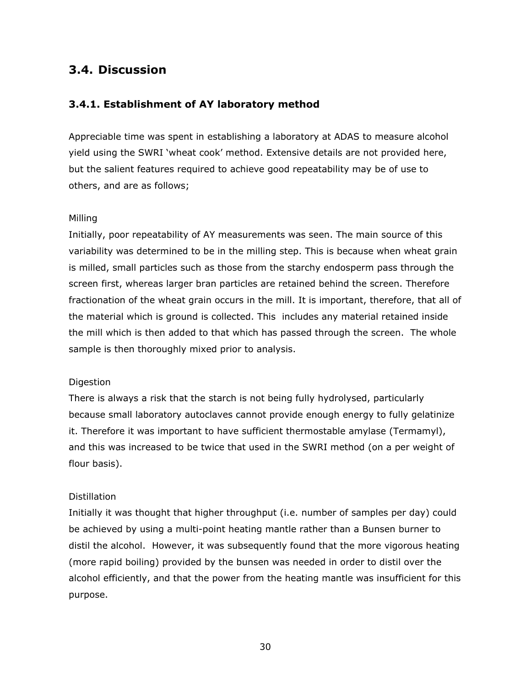# **3.4. Discussion**

### **3.4.1. Establishment of AY laboratory method**

Appreciable time was spent in establishing a laboratory at ADAS to measure alcohol yield using the SWRI 'wheat cook' method. Extensive details are not provided here, but the salient features required to achieve good repeatability may be of use to others, and are as follows;

#### *Milling*

Initially, poor repeatability of AY measurements was seen. The main source of this variability was determined to be in the milling step. This is because when wheat grain is milled, small particles such as those from the starchy endosperm pass through the screen first, whereas larger bran particles are retained behind the screen. Therefore fractionation of the wheat grain occurs in the mill. It is important, therefore, that all of the material which is ground is collected. This includes any material retained inside the mill which is then added to that which has passed through the screen. The whole sample is then thoroughly mixed prior to analysis.

### *Digestion*

There is always a risk that the starch is not being fully hydrolysed, particularly because small laboratory autoclaves cannot provide enough energy to fully gelatinize it. Therefore it was important to have sufficient thermostable amylase (Termamyl), and this was increased to be twice that used in the SWRI method (on a per weight of flour basis).

### *Distillation*

Initially it was thought that higher throughput (i.e. number of samples per day) could be achieved by using a multi-point heating mantle rather than a Bunsen burner to distil the alcohol. However, it was subsequently found that the more vigorous heating (more rapid boiling) provided by the bunsen was needed in order to distil over the alcohol efficiently, and that the power from the heating mantle was insufficient for this purpose.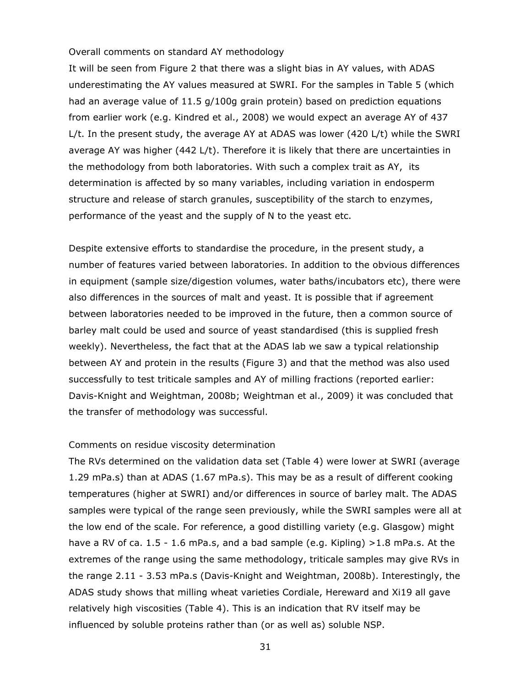#### *Overall comments on standard AY methodology*

It will be seen from Figure 2 that there was a slight bias in AY values, with ADAS underestimating the AY values measured at SWRI. For the samples in Table 5 (which had an average value of 11.5 g/100g grain protein) based on prediction equations from earlier work (e.g. Kindred *et al*., 2008) we would expect an average AY of 437 L/t. In the present study, the average AY at ADAS was lower (420 L/t) while the SWRI average AY was higher (442 L/t). Therefore it is likely that there are uncertainties in the methodology from both laboratories. With such a complex trait as AY, its determination is affected by so many variables, including variation in endosperm structure and release of starch granules, susceptibility of the starch to enzymes, performance of the yeast and the supply of N to the yeast etc.

Despite extensive efforts to standardise the procedure, in the present study, a number of features varied between laboratories. In addition to the obvious differences in equipment (sample size/digestion volumes, water baths/incubators etc), there were also differences in the sources of malt and yeast. It is possible that if agreement between laboratories needed to be improved in the future, then a common source of barley malt could be used and source of yeast standardised (this is supplied fresh weekly). Nevertheless, the fact that at the ADAS lab we saw a typical relationship between AY and protein in the results (Figure 3) and that the method was also used successfully to test triticale samples and AY of milling fractions (reported earlier: Davis-Knight and Weightman, 2008b; Weightman *et al*., 2009) it was concluded that the transfer of methodology was successful.

#### *Comments on residue viscosity determination*

The RVs determined on the validation data set (Table 4) were lower at SWRI (average 1.29 mPa.s) than at ADAS (1.67 mPa.s). This may be as a result of different cooking temperatures (higher at SWRI) and/or differences in source of barley malt. The ADAS samples were typical of the range seen previously, while the SWRI samples were all at the low end of the scale. For reference, a good distilling variety (e.g. Glasgow) might have a RV of *ca*. 1.5 - 1.6 mPa.s, and a bad sample (e.g. Kipling) >1.8 mPa.s. At the extremes of the range using the same methodology, triticale samples may give RVs in the range 2.11 - 3.53 mPa.s (Davis-Knight and Weightman, 2008b). Interestingly, the ADAS study shows that milling wheat varieties Cordiale, Hereward and Xi19 all gave relatively high viscosities (Table 4). This is an indication that RV itself may be influenced by soluble proteins rather than (or as well as) soluble NSP.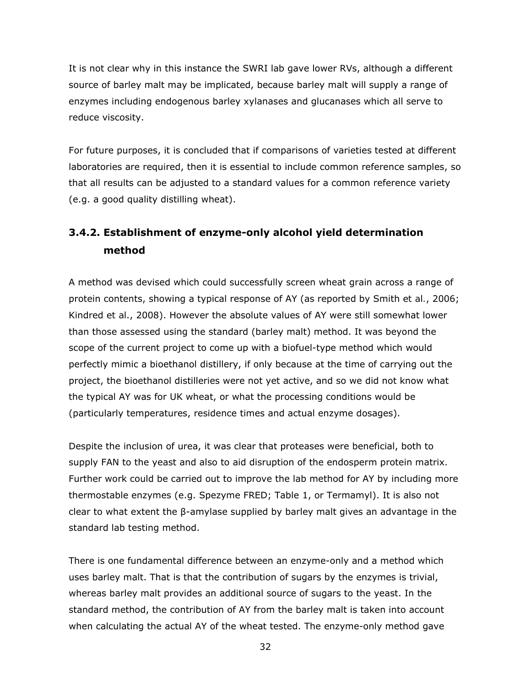It is not clear why in this instance the SWRI lab gave lower RVs, although a different source of barley malt may be implicated, because barley malt will supply a range of enzymes including endogenous barley xylanases and glucanases which all serve to reduce viscosity.

For future purposes, it is concluded that if comparisons of varieties tested at different laboratories are required, then it is essential to include common reference samples, so that all results can be adjusted to a standard values for a common reference variety (e.g. a good quality distilling wheat).

# **3.4.2. Establishment of enzyme-only alcohol yield determination method**

A method was devised which could successfully screen wheat grain across a range of protein contents, showing a typical response of AY (as reported by Smith *et al.*, 2006; Kindred *et al*., 2008). However the absolute values of AY were still somewhat lower than those assessed using the standard (barley malt) method. It was beyond the scope of the current project to come up with a biofuel-type method which would perfectly mimic a bioethanol distillery, if only because at the time of carrying out the project, the bioethanol distilleries were not yet active, and so we did not know what the typical AY was for UK wheat, or what the processing conditions would be (particularly temperatures, residence times and actual enzyme dosages).

Despite the inclusion of urea, it was clear that proteases were beneficial, both to supply FAN to the yeast and also to aid disruption of the endosperm protein matrix. Further work could be carried out to improve the lab method for AY by including more thermostable enzymes (e.g. Spezyme FRED; Table 1, or Termamyl). It is also not clear to what extent the β-amylase supplied by barley malt gives an advantage in the standard lab testing method.

There is one fundamental difference between an enzyme-only and a method which uses barley malt. That is that the contribution of sugars by the enzymes is trivial, whereas barley malt provides an additional source of sugars to the yeast. In the standard method, the contribution of AY from the barley malt is taken into account when calculating the actual AY of the wheat tested. The enzyme-only method gave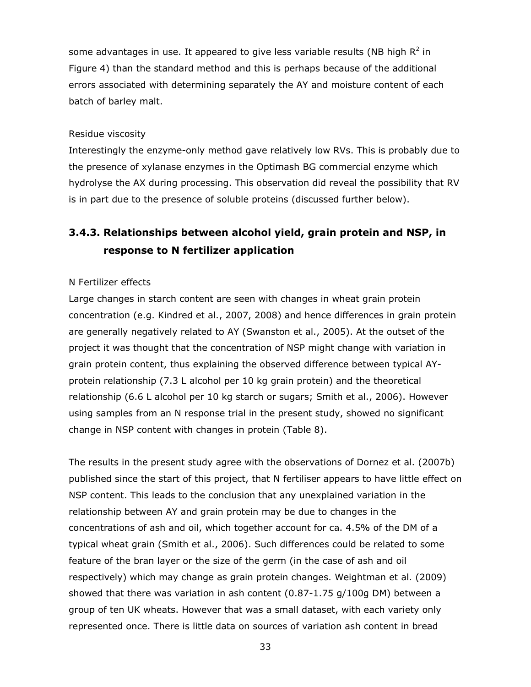some advantages in use. It appeared to give less variable results (NB high  $R^2$  in Figure 4) than the standard method and this is perhaps because of the additional errors associated with determining separately the AY and moisture content of each batch of barley malt.

#### *Residue viscosity*

Interestingly the enzyme-only method gave relatively low RVs. This is probably due to the presence of xylanase enzymes in the Optimash BG commercial enzyme which hydrolyse the AX during processing. This observation did reveal the possibility that RV is in part due to the presence of soluble proteins (discussed further below).

# **3.4.3. Relationships between alcohol yield, grain protein and NSP, in response to N fertilizer application**

#### *N Fertilizer effects*

Large changes in starch content are seen with changes in wheat grain protein concentration (e.g. Kindred *et al*., 2007, 2008) and hence differences in grain protein are generally negatively related to AY (Swanston *et al*., 2005). At the outset of the project it was thought that the concentration of NSP might change with variation in grain protein content, thus explaining the observed difference between typical AYprotein relationship (7.3 L alcohol per 10 kg grain protein) and the theoretical relationship (6.6 L alcohol per 10 kg starch or sugars; Smith *et al*., 2006). However using samples from an N response trial in the present study, showed no significant change in NSP content with changes in protein (Table 8).

The results in the present study agree with the observations of Dornez *et al*. (2007b) published since the start of this project, that N fertiliser appears to have little effect on NSP content. This leads to the conclusion that any unexplained variation in the relationship between AY and grain protein may be due to changes in the concentrations of ash and oil, which together account for *ca*. 4.5% of the DM of a typical wheat grain (Smith *et al*., 2006). Such differences could be related to some feature of the bran layer or the size of the germ (in the case of ash and oil respectively) which may change as grain protein changes. Weightman *et al*. (2009) showed that there was variation in ash content (0.87-1.75 g/100g DM) between a group of ten UK wheats. However that was a small dataset, with each variety only represented once. There is little data on sources of variation ash content in bread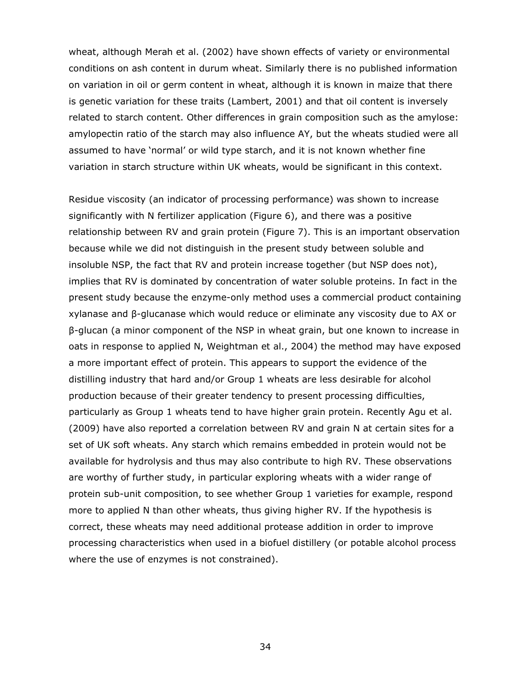wheat, although Merah *et al*. (2002) have shown effects of variety or environmental conditions on ash content in durum wheat. Similarly there is no published information on variation in oil or germ content in wheat, although it is known in maize that there is genetic variation for these traits (Lambert, 2001) and that oil content is inversely related to starch content. Other differences in grain composition such as the amylose: amylopectin ratio of the starch may also influence AY, but the wheats studied were all assumed to have 'normal' or wild type starch, and it is not known whether fine variation in starch structure within UK wheats, would be significant in this context.

Residue viscosity (an indicator of processing performance) was shown to increase significantly with N fertilizer application (Figure 6), and there was a positive relationship between RV and grain protein (Figure 7). This is an important observation because while we did not distinguish in the present study between soluble and insoluble NSP, the fact that RV and protein increase together (but NSP does not), implies that RV is dominated by concentration of water soluble proteins. In fact in the present study because the enzyme-only method uses a commercial product containing xylanase and β-glucanase which would reduce or eliminate any viscosity due to AX or β-glucan (a minor component of the NSP in wheat grain, but one known to increase in oats in response to applied N, Weightman *et al*., 2004) the method may have exposed a more important effect of protein. This appears to support the evidence of the distilling industry that hard and/or Group 1 wheats are less desirable for alcohol production because of their greater tendency to present processing difficulties, particularly as Group 1 wheats tend to have higher grain protein. Recently Agu *et al*. (2009) have also reported a correlation between RV and grain N at certain sites for a set of UK soft wheats. Any starch which remains embedded in protein would not be available for hydrolysis and thus may also contribute to high RV. These observations are worthy of further study, in particular exploring wheats with a wider range of protein sub-unit composition, to see whether Group 1 varieties for example, respond more to applied N than other wheats, thus giving higher RV. If the hypothesis is correct, these wheats may need additional protease addition in order to improve processing characteristics when used in a biofuel distillery (or potable alcohol process where the use of enzymes is not constrained).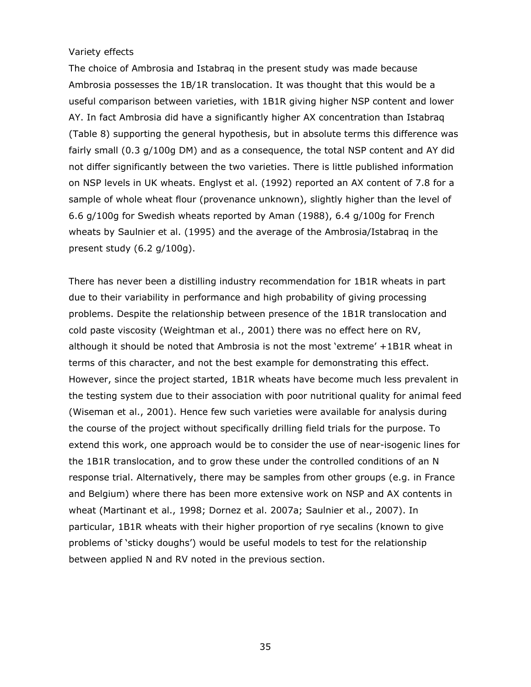#### *Variety effects*

The choice of Ambrosia and Istabraq in the present study was made because Ambrosia possesses the 1B/1R translocation. It was thought that this would be a useful comparison between varieties, with 1B1R giving higher NSP content and lower AY. In fact Ambrosia did have a significantly higher AX concentration than Istabraq (Table 8) supporting the general hypothesis, but in absolute terms this difference was fairly small (0.3 g/100g DM) and as a consequence, the total NSP content and AY did not differ significantly between the two varieties. There is little published information on NSP levels in UK wheats. Englyst *et al*. (1992) reported an AX content of 7.8 for a sample of whole wheat flour (provenance unknown), slightly higher than the level of 6.6 g/100g for Swedish wheats reported by Aman (1988), 6.4 g/100g for French wheats by Saulnier *et al*. (1995) and the average of the Ambrosia/Istabraq in the present study (6.2 g/100g).

There has never been a distilling industry recommendation for 1B1R wheats in part due to their variability in performance and high probability of giving processing problems. Despite the relationship between presence of the 1B1R translocation and cold paste viscosity (Weightman *et al*., 2001) there was no effect here on RV, although it should be noted that Ambrosia is not the most 'extreme' +1B1R wheat in terms of this character, and not the best example for demonstrating this effect. However, since the project started, 1B1R wheats have become much less prevalent in the testing system due to their association with poor nutritional quality for animal feed (Wiseman *et al*., 2001). Hence few such varieties were available for analysis during the course of the project without specifically drilling field trials for the purpose. To extend this work, one approach would be to consider the use of near-isogenic lines for the 1B1R translocation, and to grow these under the controlled conditions of an N response trial. Alternatively, there may be samples from other groups (e.g. in France and Belgium) where there has been more extensive work on NSP and AX contents in wheat (Martinant *et al*., 1998; Dornez *et al*. 2007a; Saulnier *et al*., 2007). In particular, 1B1R wheats with their higher proportion of rye secalins (known to give problems of 'sticky doughs') would be useful models to test for the relationship between applied N and RV noted in the previous section.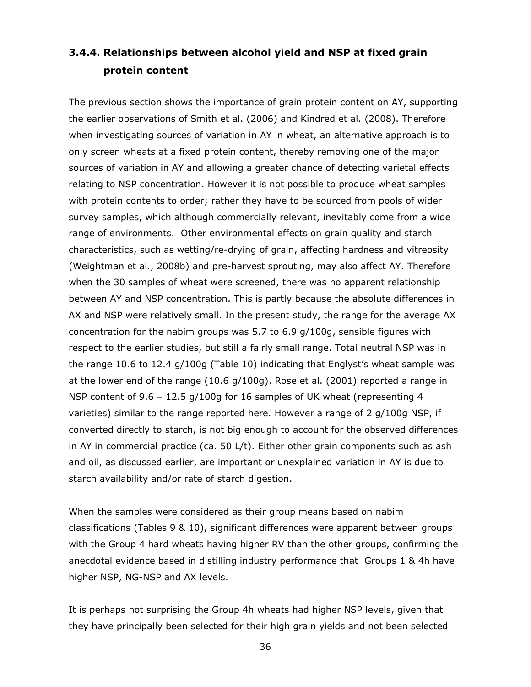# **3.4.4. Relationships between alcohol yield and NSP at fixed grain protein content**

The previous section shows the importance of grain protein content on AY, supporting the earlier observations of Smith *et al*. (2006) and Kindred *et al*. (2008). Therefore when investigating sources of variation in AY in wheat, an alternative approach is to only screen wheats at a fixed protein content, thereby removing one of the major sources of variation in AY and allowing a greater chance of detecting varietal effects relating to NSP concentration. However it is not possible to produce wheat samples with protein contents to order; rather they have to be sourced from pools of wider survey samples, which although commercially relevant, inevitably come from a wide range of environments. Other environmental effects on grain quality and starch characteristics, such as wetting/re-drying of grain, affecting hardness and vitreosity (Weightman *et al*., 2008b) and pre-harvest sprouting, may also affect AY. Therefore when the 30 samples of wheat were screened, there was no apparent relationship between AY and NSP concentration. This is partly because the absolute differences in AX and NSP were relatively small. In the present study, the range for the average AX concentration for the nabim groups was 5.7 to 6.9 g/100g, sensible figures with respect to the earlier studies, but still a fairly small range. Total neutral NSP was in the range 10.6 to 12.4 g/100g (Table 10) indicating that Englyst's wheat sample was at the lower end of the range (10.6 g/100g). Rose *et al*. (2001) reported a range in NSP content of 9.6 – 12.5 g/100g for 16 samples of UK wheat (representing 4 varieties) similar to the range reported here. However a range of 2 g/100g NSP, if converted directly to starch, is not big enough to account for the observed differences in AY in commercial practice (*ca*. 50 L/t). Either other grain components such as ash and oil, as discussed earlier, are important or unexplained variation in AY is due to starch availability and/or rate of starch digestion.

When the samples were considered as their group means based on nabim classifications (Tables 9 & 10), significant differences were apparent between groups with the Group 4 hard wheats having higher RV than the other groups, confirming the anecdotal evidence based in distilling industry performance that Groups 1 & 4h have higher NSP, NG-NSP and AX levels.

It is perhaps not surprising the Group 4h wheats had higher NSP levels, given that they have principally been selected for their high grain yields and not been selected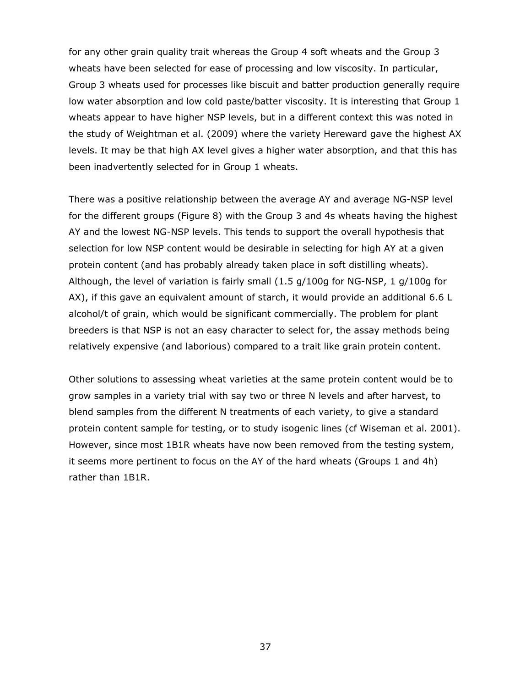for any other grain quality trait whereas the Group 4 soft wheats and the Group 3 wheats have been selected for ease of processing and low viscosity. In particular, Group 3 wheats used for processes like biscuit and batter production generally require low water absorption and low cold paste/batter viscosity. It is interesting that Group 1 wheats appear to have higher NSP levels, but in a different context this was noted in the study of Weightman *et al*. (2009) where the variety Hereward gave the highest AX levels. It may be that high AX level gives a higher water absorption, and that this has been inadvertently selected for in Group 1 wheats.

There was a positive relationship between the average AY and average NG-NSP level for the different groups (Figure 8) with the Group 3 and 4s wheats having the highest AY and the lowest NG-NSP levels. This tends to support the overall hypothesis that selection for low NSP content would be desirable in selecting for high AY at a given protein content (and has probably already taken place in soft distilling wheats). Although, the level of variation is fairly small (1.5 g/100g for NG-NSP, 1 g/100g for AX), if this gave an equivalent amount of starch, it would provide an additional 6.6 L alcohol/t of grain, which would be significant commercially. The problem for plant breeders is that NSP is not an easy character to select for, the assay methods being relatively expensive (and laborious) compared to a trait like grain protein content.

Other solutions to assessing wheat varieties at the same protein content would be to grow samples in a variety trial with say two or three N levels and after harvest, to blend samples from the different N treatments of each variety, to give a standard protein content sample for testing, or to study isogenic lines (cf Wiseman *et al*. 2001). However, since most 1B1R wheats have now been removed from the testing system, it seems more pertinent to focus on the AY of the hard wheats (Groups 1 and 4h) rather than 1B1R.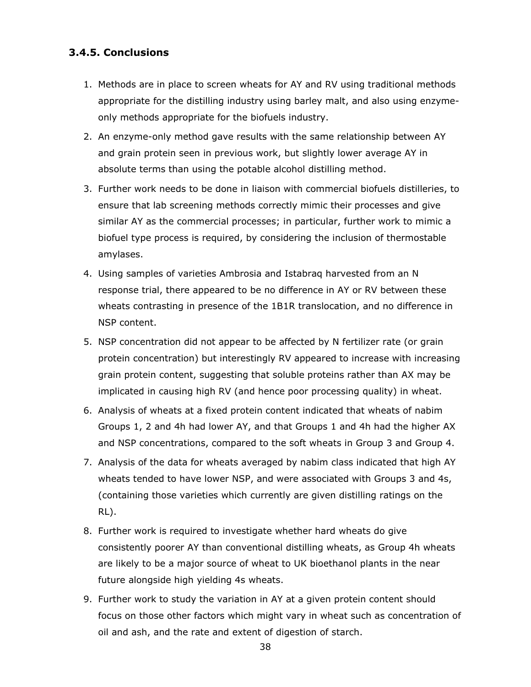### **3.4.5. Conclusions**

- 1. Methods are in place to screen wheats for AY and RV using traditional methods appropriate for the distilling industry using barley malt, and also using enzymeonly methods appropriate for the biofuels industry.
- 2. An enzyme-only method gave results with the same relationship between AY and grain protein seen in previous work, but slightly lower average AY in absolute terms than using the potable alcohol distilling method.
- 3. Further work needs to be done in liaison with commercial biofuels distilleries, to ensure that lab screening methods correctly mimic their processes and give similar AY as the commercial processes; in particular, further work to mimic a biofuel type process is required, by considering the inclusion of thermostable amylases.
- 4. Using samples of varieties Ambrosia and Istabraq harvested from an N response trial, there appeared to be no difference in AY or RV between these wheats contrasting in presence of the 1B1R translocation, and no difference in NSP content.
- 5. NSP concentration did not appear to be affected by N fertilizer rate (or grain protein concentration) but interestingly RV appeared to increase with increasing grain protein content, suggesting that soluble proteins rather than AX may be implicated in causing high RV (and hence poor processing quality) in wheat.
- 6. Analysis of wheats at a fixed protein content indicated that wheats of nabim Groups 1, 2 and 4h had lower AY, and that Groups 1 and 4h had the higher AX and NSP concentrations, compared to the soft wheats in Group 3 and Group 4.
- 7. Analysis of the data for wheats averaged by nabim class indicated that high AY wheats tended to have lower NSP, and were associated with Groups 3 and 4s, (containing those varieties which currently are given distilling ratings on the RL).
- 8. Further work is required to investigate whether hard wheats do give consistently poorer AY than conventional distilling wheats, as Group 4h wheats are likely to be a major source of wheat to UK bioethanol plants in the near future alongside high yielding 4s wheats.
- 9. Further work to study the variation in AY at a given protein content should focus on those other factors which might vary in wheat such as concentration of oil and ash, and the rate and extent of digestion of starch.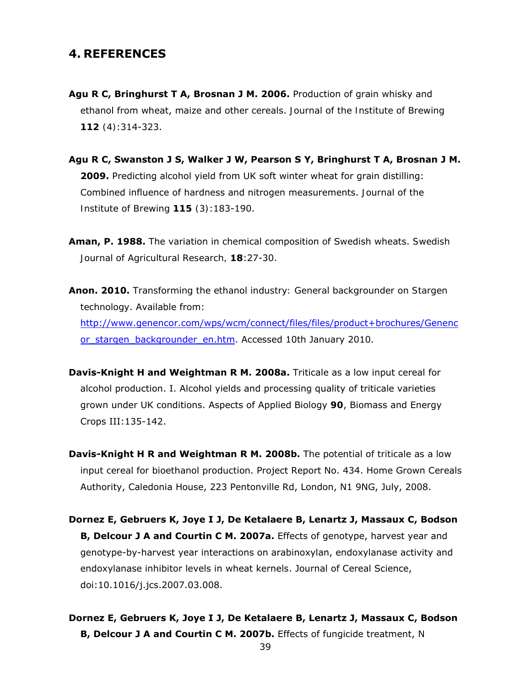## **4. REFERENCES**

- **Agu R C, Bringhurst T A, Brosnan J M. 2006.** Production of grain whisky and ethanol from wheat, maize and other cereals. *Journal of the Institute of Brewing 112 (4)*:314-323.
- **Agu R C, Swanston J S, Walker J W, Pearson S Y, Bringhurst T A, Brosnan J M. 2009.** Predicting alcohol yield from UK soft winter wheat for grain distilling: Combined influence of hardness and nitrogen measurements. *Journal of the Institute of Brewing 115 (3)*:183-190.
- **Aman, P. 1988.** The variation in chemical composition of Swedish wheats. *Swedish Journal of Agricultural Research,* **18**:27-30.
- **Anon. 2010.** *Transforming the ethanol industry: General backgrounder on Stargen technology*. Available from: http://www.genencor.com/wps/wcm/connect/files/files/product+brochures/Genenc or stargen backgrounder en.htm. Accessed 10th January 2010.
- **Davis-Knight H and Weightman R M. 2008a.** Triticale as a low input cereal for alcohol production. I. Alcohol yields and processing quality of triticale varieties grown under UK conditions. Aspects of Applied Biology *90*, Biomass and Energy Crops III:135-142.
- **Davis-Knight H R and Weightman R M. 2008b.** *The potential of triticale as a low input cereal for bioethanol production*. Project Report No. 434. Home Grown Cereals Authority, Caledonia House, 223 Pentonville Rd, London, N1 9NG, July, 2008.
- **Dornez E, Gebruers K, Joye I J, De Ketalaere B, Lenartz J, Massaux C, Bodson B, Delcour J A and Courtin C M. 2007a.** Effects of genotype, harvest year and genotype-by-harvest year interactions on arabinoxylan, endoxylanase activity and endoxylanase inhibitor levels in wheat kernels. Journal of Cereal Science, doi:10.1016/j.jcs.2007.03.008.
- **Dornez E, Gebruers K, Joye I J, De Ketalaere B, Lenartz J, Massaux C, Bodson B, Delcour J A and Courtin C M. 2007b.** Effects of fungicide treatment, N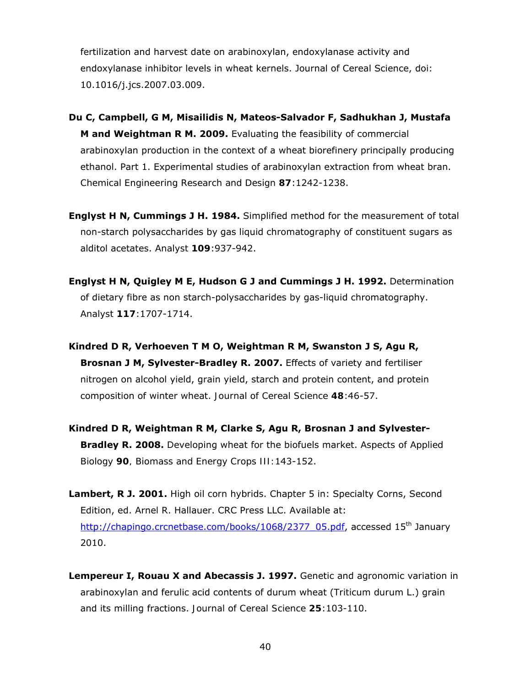fertilization and harvest date on arabinoxylan, endoxylanase activity and endoxylanase inhibitor levels in wheat kernels. Journal of Cereal Science, doi: 10.1016/j.jcs.2007.03.009.

- **Du C, Campbell, G M, Misailidis N, Mateos-Salvador F, Sadhukhan J, Mustafa M and Weightman R M. 2009.** Evaluating the feasibility of commercial arabinoxylan production in the context of a wheat biorefinery principally producing ethanol. Part 1. Experimental studies of arabinoxylan extraction from wheat bran. *Chemical Engineering Research and Design 87*:1242-1238.
- **Englyst H N, Cummings J H. 1984.** Simplified method for the measurement of total non-starch polysaccharides by gas liquid chromatography of constituent sugars as alditol acetates. *Analyst 109*:937-942.
- **Englyst H N, Quigley M E, Hudson G J and Cummings J H. 1992.** Determination of dietary fibre as non starch-polysaccharides by gas-liquid chromatography. *Analyst 117*:1707-1714.
- **Kindred D R, Verhoeven T M O, Weightman R M, Swanston J S, Agu R, Brosnan J M, Sylvester-Bradley R. 2007.** Effects of variety and fertiliser nitrogen on alcohol yield, grain yield, starch and protein content, and protein composition of winter wheat. *Journal of Cereal Science 48*:46-57.
- **Kindred D R, Weightman R M, Clarke S, Agu R, Brosnan J and Sylvester-Bradley R. 2008.** Developing wheat for the biofuels market. *Aspects of Applied Biology 90, Biomass and Energy Crops III:*143-152.
- **Lambert, R J. 2001.** *High oil corn hybrids*. Chapter 5 in: Specialty Corns, Second Edition, ed. Arnel R. Hallauer. CRC Press LLC. Available at: http://chapingo.crcnetbase.com/books/1068/2377\_05.pdf, accessed 15<sup>th</sup> January 2010.
- **Lempereur I, Rouau X and Abecassis J. 1997.** Genetic and agronomic variation in arabinoxylan and ferulic acid contents of durum wheat (*Triticum durum* L.) grain and its milling fractions. *Journal of Cereal Science 25*:103-110.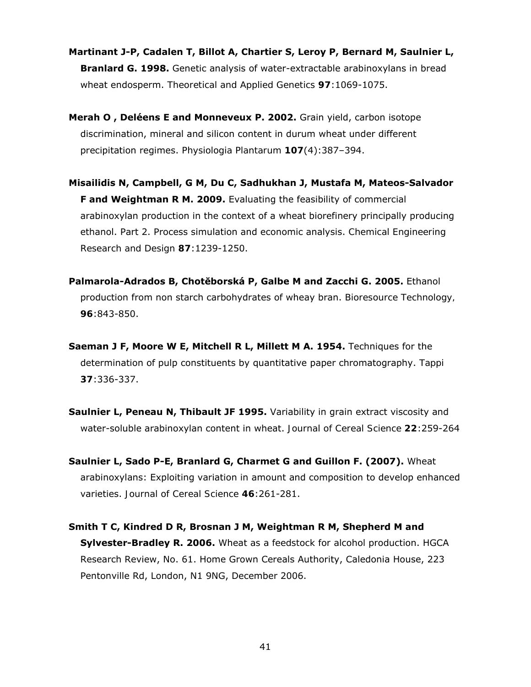- **Martinant J-P, Cadalen T, Billot A, Chartier S, Leroy P, Bernard M, Saulnier L, Branlard G. 1998.** Genetic analysis of water-extractable arabinoxylans in bread wheat endosperm. *Theoretical and Applied Genetics 97*:1069-1075.
- **Merah O , Deléens E and Monneveux P. 2002.** Grain yield, carbon isotope discrimination, mineral and silicon content in durum wheat under different precipitation regimes. *Physiologia Plantarum 107*(4):387–394.
- **Misailidis N, Campbell, G M, Du C, Sadhukhan J, Mustafa M, Mateos-Salvador F and Weightman R M. 2009.** Evaluating the feasibility of commercial arabinoxylan production in the context of a wheat biorefinery principally producing ethanol. Part 2. Process simulation and economic analysis. *Chemical Engineering Research and Design 87*:1239-1250.
- **Palmarola-Adrados B, Chotĕborská P, Galbe M and Zacchi G. 2005.** Ethanol production from non starch carbohydrates of wheay bran. *Bioresource Technology, 96*:843-850.
- **Saeman J F, Moore W E, Mitchell R L, Millett M A. 1954.** Techniques for the determination of pulp constituents by quantitative paper chromatography. *Tappi 37*:336-337.
- **Saulnier L, Peneau N, Thibault JF 1995.** Variability in grain extract viscosity and water-soluble arabinoxylan content in wheat. *Journal of Cereal Science 22*:259-264
- **Saulnier L, Sado P-E, Branlard G, Charmet G and Guillon F. (2007).** Wheat arabinoxylans: Exploiting variation in amount and composition to develop enhanced varieties. *Journal of Cereal Science 46*:261-281.
- **Smith T C, Kindred D R, Brosnan J M, Weightman R M, Shepherd M and Sylvester-Bradley R. 2006.** Wheat *as a feedstock for alcohol production*. HGCA Research Review, No. 61. Home Grown Cereals Authority, Caledonia House, 223 Pentonville Rd, London, N1 9NG, December 2006.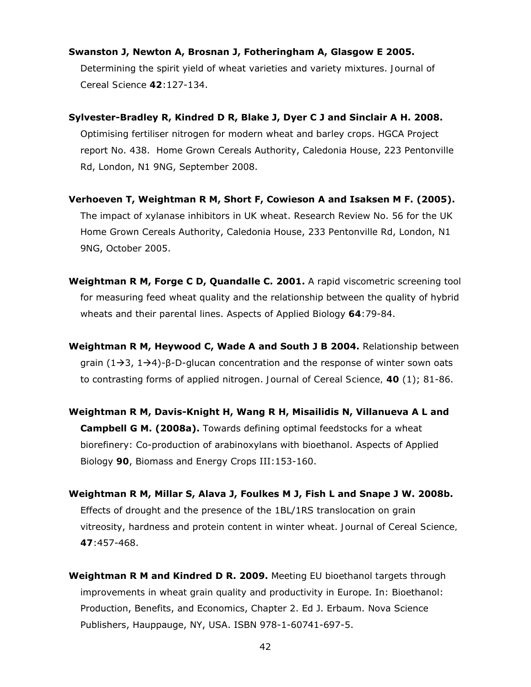#### **Swanston J, Newton A, Brosnan J, Fotheringham A, Glasgow E 2005.**

Determining the spirit yield of wheat varieties and variety mixtures. *Journal of Cereal Science 42*:127-134.

- **Sylvester-Bradley R, Kindred D R, Blake J, Dyer C J and Sinclair A H. 2008.** *Optimising fertiliser nitrogen for modern wheat and barley crops*. HGCA Project report No. 438. Home Grown Cereals Authority, Caledonia House, 223 Pentonville Rd, London, N1 9NG, September 2008.
- **Verhoeven T, Weightman R M, Short F, Cowieson A and Isaksen M F. (2005).** *The impact of xylanase inhibitors in UK wheat*. Research Review No. 56 for the UK Home Grown Cereals Authority, Caledonia House, 233 Pentonville Rd, London, N1 9NG, October 2005.
- **Weightman R M, Forge C D, Quandalle C. 2001.** A rapid viscometric screening tool for measuring feed wheat quality and the relationship between the quality of hybrid wheats and their parental lines. *Aspects of Applied Biology 64*:79-84.
- **Weightman R M, Heywood C, Wade A and South J B 2004.** Relationship between grain (1 $\rightarrow$ 3, 1 $\rightarrow$ 4)-β-D-glucan concentration and the response of winter sown oats to contrasting forms of applied nitrogen. *Journal of Cereal Science, 40* (1); 81-86.
- **Weightman R M, Davis-Knight H, Wang R H, Misailidis N, Villanueva A L and Campbell G M. (2008a).** Towards defining optimal feedstocks for a wheat biorefinery: Co-production of arabinoxylans with bioethanol. Aspects of Applied Biology *90*, Biomass and Energy Crops III:153-160.
- **Weightman R M, Millar S, Alava J, Foulkes M J, Fish L and Snape J W. 2008b.**  Effects of drought and the presence of the 1BL/1RS translocation on grain vitreosity, hardness and protein content in winter wheat. *Journal of Cereal Science, 47*:457-468.
- **Weightman R M and Kindred D R. 2009.** *Meeting EU bioethanol targets through improvements in wheat grain quality and productivity in Europe*. In: Bioethanol: Production, Benefits, and Economics, Chapter 2. Ed J. Erbaum. Nova Science Publishers, Hauppauge, NY, USA. ISBN 978-1-60741-697-5.